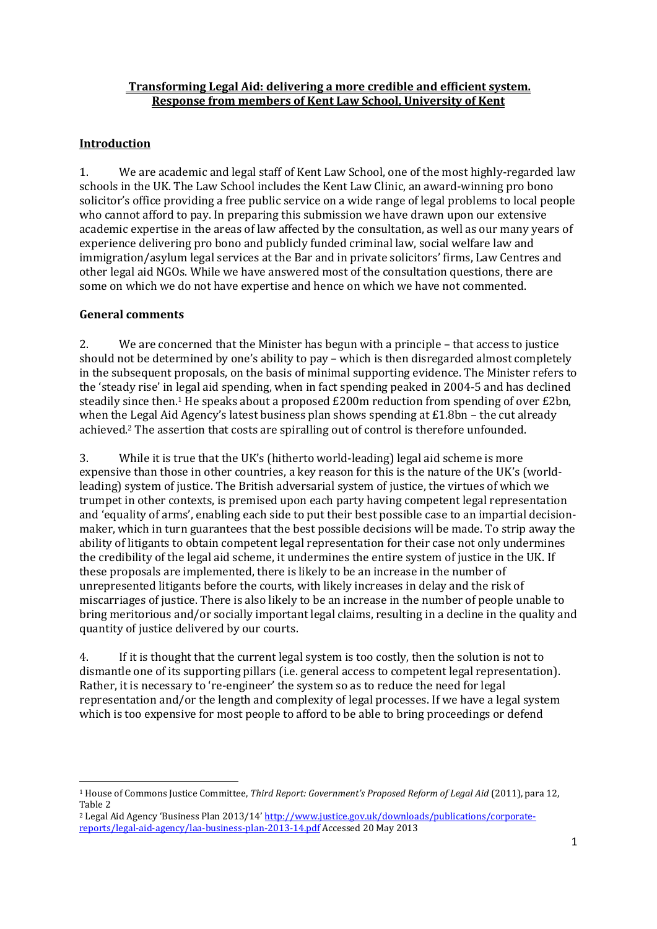## **Transforming Legal Aid: delivering a more credible and efficient system. Response from members of Kent Law School, University of Kent**

# **Introduction**

1. We are academic and legal staff of Kent Law School, one of the most highly-regarded law schools in the UK. The Law School includes the Kent Law Clinic, an award-winning pro bono solicitor's office providing a free public service on a wide range of legal problems to local people who cannot afford to pay. In preparing this submission we have drawn upon our extensive academic expertise in the areas of law affected by the consultation, as well as our many years of experience delivering pro bono and publicly funded criminal law, social welfare law and immigration/asylum legal services at the Bar and in private solicitors' firms, Law Centres and other legal aid NGOs. While we have answered most of the consultation questions, there are some on which we do not have expertise and hence on which we have not commented.

# **General comments**

2. We are concerned that the Minister has begun with a principle – that access to justice should not be determined by one's ability to pay – which is then disregarded almost completely in the subsequent proposals, on the basis of minimal supporting evidence. The Minister refers to the 'steady rise' in legal aid spending, when in fact spending peaked in 2004-5 and has declined steadily since then.<sup>1</sup> He speaks about a proposed  $£200m$  reduction from spending of over  $£2bn$ , when the Legal Aid Agency's latest business plan shows spending at  $E1.8$ bn – the cut already achieved. <sup>2</sup> The assertion that costs are spiralling out of control is therefore unfounded.

3. While it is true that the UK's (hitherto world-leading) legal aid scheme is more expensive than those in other countries, a key reason for this is the nature of the UK's (worldleading) system of justice. The British adversarial system of justice, the virtues of which we trumpet in other contexts, is premised upon each party having competent legal representation and 'equality of arms', enabling each side to put their best possible case to an impartial decisionmaker, which in turn guarantees that the best possible decisions will be made. To strip away the ability of litigants to obtain competent legal representation for their case not only undermines the credibility of the legal aid scheme, it undermines the entire system of justice in the UK. If these proposals are implemented, there is likely to be an increase in the number of unrepresented litigants before the courts, with likely increases in delay and the risk of miscarriages of justice. There is also likely to be an increase in the number of people unable to bring meritorious and/or socially important legal claims, resulting in a decline in the quality and quantity of justice delivered by our courts.

4. If it is thought that the current legal system is too costly, then the solution is not to dismantle one of its supporting pillars (i.e. general access to competent legal representation). Rather, it is necessary to 're-engineer' the system so as to reduce the need for legal representation and/or the length and complexity of legal processes. If we have a legal system which is too expensive for most people to afford to be able to bring proceedings or defend

**<sup>.</sup>** <sup>1</sup> House of Commons Justice Committee, *Third Report: Government's Proposed Reform of Legal Aid* (2011), para 12, Table 2

<sup>2</sup> Legal Aid Agency 'Business Plan 2013/14' [http://www.justice.gov.uk/downloads/publications/corporate](http://www.justice.gov.uk/downloads/publications/corporate-reports/legal-aid-agency/laa-business-plan-2013-14.pdf)[reports/legal-aid-agency/laa-business-plan-2013-14.pdf](http://www.justice.gov.uk/downloads/publications/corporate-reports/legal-aid-agency/laa-business-plan-2013-14.pdf) Accessed 20 May 2013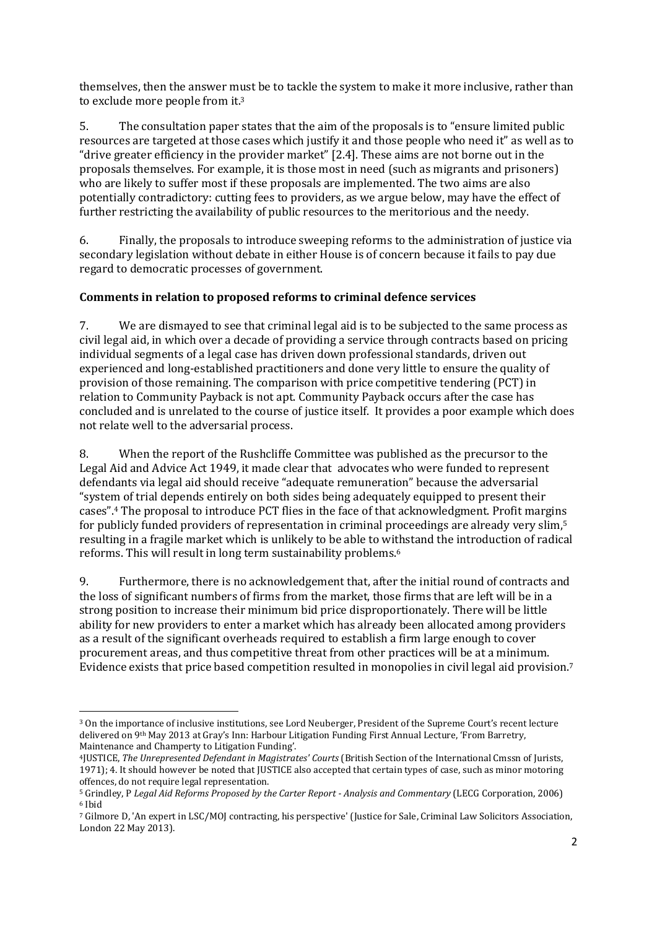themselves, then the answer must be to tackle the system to make it more inclusive, rather than to exclude more people from it.<sup>3</sup>

5. The consultation paper states that the aim of the proposals is to "ensure limited public resources are targeted at those cases which justify it and those people who need it" as well as to "drive greater efficiency in the provider market" [2.4]. These aims are not borne out in the proposals themselves. For example, it is those most in need (such as migrants and prisoners) who are likely to suffer most if these proposals are implemented. The two aims are also potentially contradictory: cutting fees to providers, as we argue below, may have the effect of further restricting the availability of public resources to the meritorious and the needy.

6. Finally, the proposals to introduce sweeping reforms to the administration of justice via secondary legislation without debate in either House is of concern because it fails to pay due regard to democratic processes of government.

# **Comments in relation to proposed reforms to criminal defence services**

7. We are dismayed to see that criminal legal aid is to be subjected to the same process as civil legal aid, in which over a decade of providing a service through contracts based on pricing individual segments of a legal case has driven down professional standards, driven out experienced and long-established practitioners and done very little to ensure the quality of provision of those remaining. The comparison with price competitive tendering (PCT) in relation to Community Payback is not apt. Community Payback occurs after the case has concluded and is unrelated to the course of justice itself. It provides a poor example which does not relate well to the adversarial process.

8. When the report of the Rushcliffe Committee was published as the precursor to the Legal Aid and Advice Act 1949, it made clear that advocates who were funded to represent defendants via legal aid should receive "adequate remuneration" because the adversarial "system of trial depends entirely on both sides being adequately equipped to present their cases".<sup>4</sup> The proposal to introduce PCT flies in the face of that acknowledgment. Profit margins for publicly funded providers of representation in criminal proceedings are already very slim,<sup>5</sup> resulting in a fragile market which is unlikely to be able to withstand the introduction of radical reforms. This will result in long term sustainability problems.<sup>6</sup>

9. Furthermore, there is no acknowledgement that, after the initial round of contracts and the loss of significant numbers of firms from the market, those firms that are left will be in a strong position to increase their minimum bid price disproportionately. There will be little ability for new providers to enter a market which has already been allocated among providers as a result of the significant overheads required to establish a firm large enough to cover procurement areas, and thus competitive threat from other practices will be at a minimum. Evidence exists that price based competition resulted in monopolies in civil legal aid provision.<sup>7</sup>

<sup>3</sup> On the importance of inclusive institutions, see Lord Neuberger, President of the Supreme Court's recent lecture delivered on 9th May 2013 at Gray's Inn: Harbour Litigation Funding First Annual Lecture, 'From Barretry, Maintenance and Champerty to Litigation Funding'.

<sup>4</sup>JUSTICE, *The Unrepresented Defendant in Magistrates' Courts* (British Section of the International Cmssn of Jurists, 1971); 4. It should however be noted that JUSTICE also accepted that certain types of case, such as minor motoring offences, do not require legal representation.

<sup>5</sup> Grindley, P *Legal Aid Reforms Proposed by the Carter Report - Analysis and Commentary* (LECG Corporation, 2006) <sup>6</sup> Ibid

<sup>7</sup> Gilmore D, 'An expert in LSC/MOJ contracting, his perspective' (Justice for Sale, Criminal Law Solicitors Association, London 22 May 2013).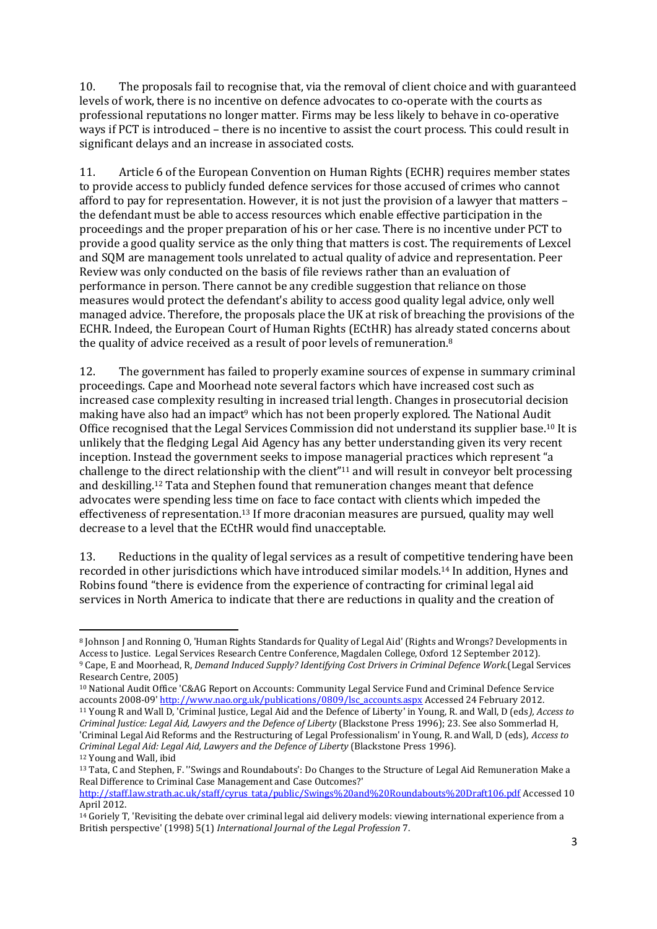10. The proposals fail to recognise that, via the removal of client choice and with guaranteed levels of work, there is no incentive on defence advocates to co-operate with the courts as professional reputations no longer matter. Firms may be less likely to behave in co-operative ways if PCT is introduced – there is no incentive to assist the court process. This could result in significant delays and an increase in associated costs.

11. Article 6 of the European Convention on Human Rights (ECHR) requires member states to provide access to publicly funded defence services for those accused of crimes who cannot afford to pay for representation. However, it is not just the provision of a lawyer that matters – the defendant must be able to access resources which enable effective participation in the proceedings and the proper preparation of his or her case. There is no incentive under PCT to provide a good quality service as the only thing that matters is cost. The requirements of Lexcel and SQM are management tools unrelated to actual quality of advice and representation. Peer Review was only conducted on the basis of file reviews rather than an evaluation of performance in person. There cannot be any credible suggestion that reliance on those measures would protect the defendant's ability to access good quality legal advice, only well managed advice. Therefore, the proposals place the UK at risk of breaching the provisions of the ECHR. Indeed, the European Court of Human Rights (ECtHR) has already stated concerns about the quality of advice received as a result of poor levels of remuneration.<sup>8</sup>

12. The government has failed to properly examine sources of expense in summary criminal proceedings. Cape and Moorhead note several factors which have increased cost such as increased case complexity resulting in increased trial length. Changes in prosecutorial decision making have also had an impact<sup>9</sup> which has not been properly explored. The National Audit Office recognised that the Legal Services Commission did not understand its supplier base.<sup>10</sup> It is unlikely that the fledging Legal Aid Agency has any better understanding given its very recent inception. Instead the government seeks to impose managerial practices which represent "a challenge to the direct relationship with the client"<sup>11</sup> and will result in conveyor belt processing and deskilling.<sup>12</sup> Tata and Stephen found that remuneration changes meant that defence advocates were spending less time on face to face contact with clients which impeded the effectiveness of representation. <sup>13</sup> If more draconian measures are pursued, quality may well decrease to a level that the ECtHR would find unacceptable.

13. Reductions in the quality of legal services as a result of competitive tendering have been recorded in other jurisdictions which have introduced similar models. <sup>14</sup> In addition, Hynes and Robins found "there is evidence from the experience of contracting for criminal legal aid services in North America to indicate that there are reductions in quality and the creation of

**<sup>.</sup>** <sup>8</sup> Johnson J and Ronning O, 'Human Rights Standards for Quality of Legal Aid' (Rights and Wrongs? Developments in Access to Justice. Legal Services Research Centre Conference, Magdalen College, Oxford 12 September 2012). <sup>9</sup> Cape, E and Moorhead, R, *Demand Induced Supply? Identifying Cost Drivers in Criminal Defence Work.*(Legal Services Research Centre, 2005)

<sup>10</sup> National Audit Office 'C&AG Report on Accounts: Community Legal Service Fund and Criminal Defence Service accounts 2008-09' [http://www.nao.org.uk/publications/0809/lsc\\_accounts.aspx](http://www.nao.org.uk/publications/0809/lsc_accounts.aspx) Accessed 24 February 2012.

<sup>11</sup> Young R and Wall D, 'Criminal Justice, Legal Aid and the Defence of Liberty' in Young, R. and Wall, D (eds*), Access to Criminal Justice: Legal Aid, Lawyers and the Defence of Liberty* (Blackstone Press 1996); 23. See also Sommerlad H, 'Criminal Legal Aid Reforms and the Restructuring of Legal Professionalism' in Young, R. and Wall, D (eds), *Access to Criminal Legal Aid: Legal Aid, Lawyers and the Defence of Liberty* (Blackstone Press 1996). <sup>12</sup> Young and Wall, ibid

<sup>13</sup> Tata, C and Stephen, F. ''Swings and Roundabouts': Do Changes to the Structure of Legal Aid Remuneration Make a Real Difference to Criminal Case Management and Case Outcomes?'

[http://staff.law.strath.ac.uk/staff/cyrus\\_tata/public/Swings%20and%20Roundabouts%20Draft106.pdf](http://staff.law.strath.ac.uk/staff/cyrus_tata/public/Swings%20and%20Roundabouts%20Draft106.pdf) Accessed 10 April 2012.

 $14$  Goriely T, 'Revisiting the debate over criminal legal aid delivery models: viewing international experience from a British perspective' (1998) 5(1) *International Journal of the Legal Profession* 7.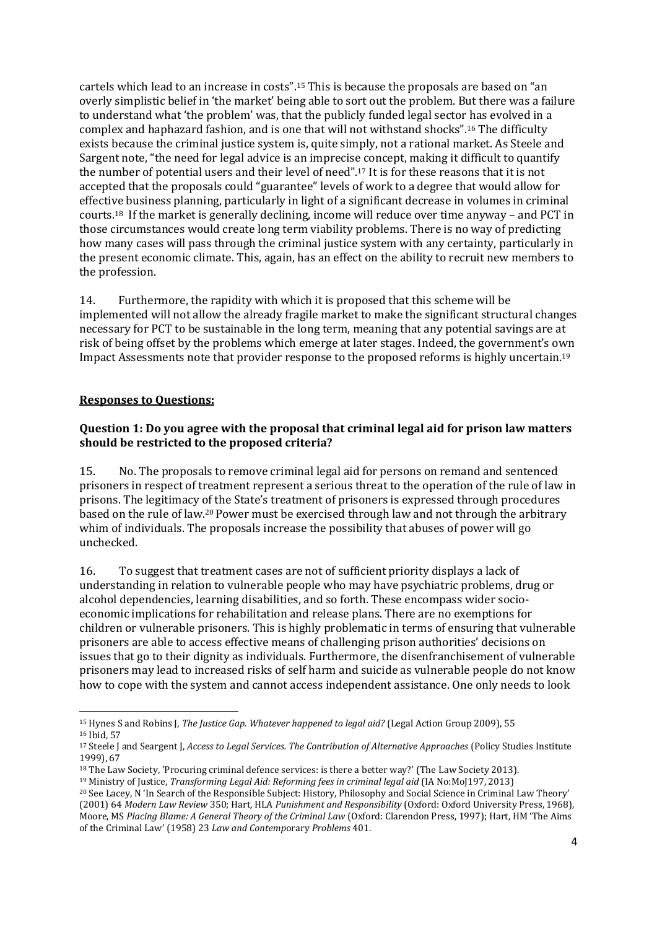cartels which lead to an increase in costs".<sup>15</sup> This is because the proposals are based on "an overly simplistic belief in 'the market' being able to sort out the problem. But there was a failure to understand what 'the problem' was, that the publicly funded legal sector has evolved in a complex and haphazard fashion, and is one that will not withstand shocks".<sup>16</sup> The difficulty exists because the criminal justice system is, quite simply, not a rational market. As Steele and Sargent note, "the need for legal advice is an imprecise concept, making it difficult to quantify the number of potential users and their level of need".<sup>17</sup> It is for these reasons that it is not accepted that the proposals could "guarantee" levels of work to a degree that would allow for effective business planning, particularly in light of a significant decrease in volumes in criminal courts.<sup>18</sup> If the market is generally declining, income will reduce over time anyway – and PCT in those circumstances would create long term viability problems. There is no way of predicting how many cases will pass through the criminal justice system with any certainty, particularly in the present economic climate. This, again, has an effect on the ability to recruit new members to the profession.

14. Furthermore, the rapidity with which it is proposed that this scheme will be implemented will not allow the already fragile market to make the significant structural changes necessary for PCT to be sustainable in the long term, meaning that any potential savings are at risk of being offset by the problems which emerge at later stages. Indeed, the government's own Impact Assessments note that provider response to the proposed reforms is highly uncertain.<sup>19</sup>

#### **Responses to Questions:**

**.** 

### **Question 1: Do you agree with the proposal that criminal legal aid for prison law matters should be restricted to the proposed criteria?**

15. No. The proposals to remove criminal legal aid for persons on remand and sentenced prisoners in respect of treatment represent a serious threat to the operation of the rule of law in prisons. The legitimacy of the State's treatment of prisoners is expressed through procedures based on the rule of law.20Power must be exercised through law and not through the arbitrary whim of individuals. The proposals increase the possibility that abuses of power will go unchecked.

16. To suggest that treatment cases are not of sufficient priority displays a lack of understanding in relation to vulnerable people who may have psychiatric problems, drug or alcohol dependencies, learning disabilities, and so forth. These encompass wider socioeconomic implications for rehabilitation and release plans. There are no exemptions for children or vulnerable prisoners. This is highly problematic in terms of ensuring that vulnerable prisoners are able to access effective means of challenging prison authorities' decisions on issues that go to their dignity as individuals. Furthermore, the disenfranchisement of vulnerable prisoners may lead to increased risks of self harm and suicide as vulnerable people do not know how to cope with the system and cannot access independent assistance. One only needs to look

<sup>15</sup> Hynes S and Robins J, *The Justice Gap. Whatever happened to legal aid?* (Legal Action Group 2009), 55 <sup>16</sup> Ibid, 57

<sup>17</sup> Steele J and Seargent J, *Access to Legal Services. The Contribution of Alternative Approaches* (Policy Studies Institute 1999), 67

<sup>18</sup> The Law Society, 'Procuring criminal defence services: is there a better way?' (The Law Society 2013).

<sup>19</sup> Ministry of Justice, *Transforming Legal Aid: Reforming fees in criminal legal aid* (IA No:MoJ197, 2013)

<sup>20</sup> See Lacey, N 'In Search of the Responsible Subject: History, Philosophy and Social Science in Criminal Law Theory' (2001) 64 *Modern Law Review* 350; Hart, HLA *Punishment and Responsibility* (Oxford: Oxford University Press, 1968), Moore, MS *Placing Blame: A General Theory of the Criminal Law* (Oxford: Clarendon Press, 1997); Hart, HM 'The Aims of the Criminal Law' (1958) 23 *Law and Contemp*orary *Problems* 401.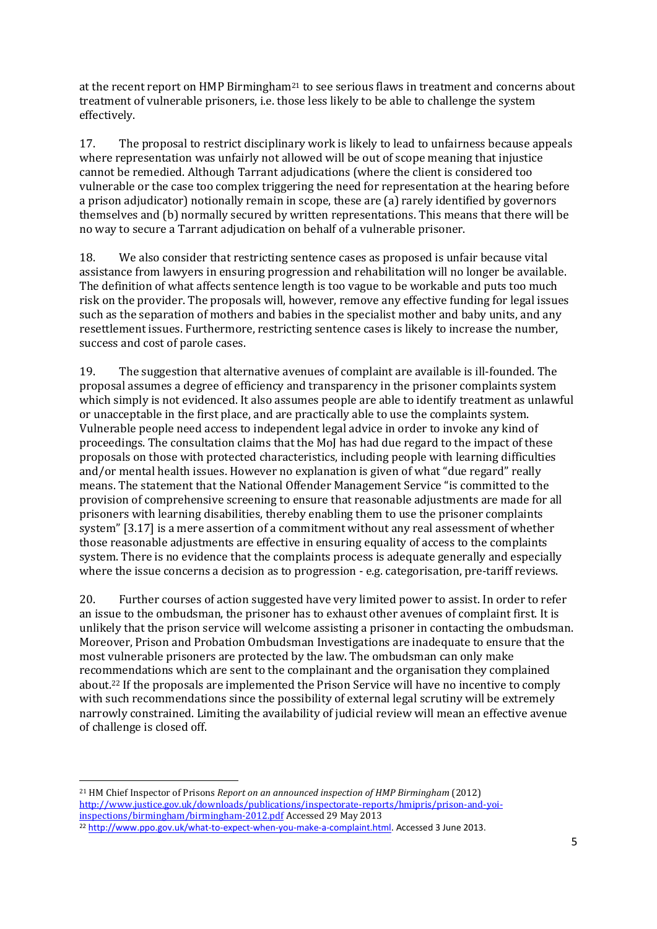at the recent report on HMP Birmingham<sup>21</sup> to see serious flaws in treatment and concerns about treatment of vulnerable prisoners, i.e. those less likely to be able to challenge the system effectively.

17. The proposal to restrict disciplinary work is likely to lead to unfairness because appeals where representation was unfairly not allowed will be out of scope meaning that injustice cannot be remedied. Although Tarrant adjudications (where the client is considered too vulnerable or the case too complex triggering the need for representation at the hearing before a prison adjudicator) notionally remain in scope, these are (a) rarely identified by governors themselves and (b) normally secured by written representations. This means that there will be no way to secure a Tarrant adjudication on behalf of a vulnerable prisoner.

18. We also consider that restricting sentence cases as proposed is unfair because vital assistance from lawyers in ensuring progression and rehabilitation will no longer be available. The definition of what affects sentence length is too vague to be workable and puts too much risk on the provider. The proposals will, however, remove any effective funding for legal issues such as the separation of mothers and babies in the specialist mother and baby units, and any resettlement issues. Furthermore, restricting sentence cases is likely to increase the number, success and cost of parole cases.

19. The suggestion that alternative avenues of complaint are available is ill-founded. The proposal assumes a degree of efficiency and transparency in the prisoner complaints system which simply is not evidenced. It also assumes people are able to identify treatment as unlawful or unacceptable in the first place, and are practically able to use the complaints system. Vulnerable people need access to independent legal advice in order to invoke any kind of proceedings. The consultation claims that the MoJ has had due regard to the impact of these proposals on those with protected characteristics, including people with learning difficulties and/or mental health issues. However no explanation is given of what "due regard" really means. The statement that the National Offender Management Service "is committed to the provision of comprehensive screening to ensure that reasonable adjustments are made for all prisoners with learning disabilities, thereby enabling them to use the prisoner complaints system" [3.17] is a mere assertion of a commitment without any real assessment of whether those reasonable adjustments are effective in ensuring equality of access to the complaints system. There is no evidence that the complaints process is adequate generally and especially where the issue concerns a decision as to progression - e.g. categorisation, pre-tariff reviews.

20. Further courses of action suggested have very limited power to assist. In order to refer an issue to the ombudsman, the prisoner has to exhaust other avenues of complaint first. It is unlikely that the prison service will welcome assisting a prisoner in contacting the ombudsman. Moreover, Prison and Probation Ombudsman Investigations are inadequate to ensure that the most vulnerable prisoners are protected by the law. The ombudsman can only make recommendations which are sent to the complainant and the organisation they complained about.<sup>22</sup> If the proposals are implemented the Prison Service will have no incentive to comply with such recommendations since the possibility of external legal scrutiny will be extremely narrowly constrained. Limiting the availability of judicial review will mean an effective avenue of challenge is closed off.

**.** <sup>21</sup> HM Chief Inspector of Prisons *Report on an announced inspection of HMP Birmingham* (2012) [http://www.justice.gov.uk/downloads/publications/inspectorate-reports/hmipris/prison-and-yoi](http://www.justice.gov.uk/downloads/publications/inspectorate-reports/hmipris/prison-and-yoi-inspections/birmingham/birmingham-2012.pdf)[inspections/birmingham/birmingham-2012.pdf](http://www.justice.gov.uk/downloads/publications/inspectorate-reports/hmipris/prison-and-yoi-inspections/birmingham/birmingham-2012.pdf) Accessed 29 May 2013

<sup>22</sup> [http://www.ppo.gov.uk/what-to-expect-when-you-make-a-complaint.html.](http://www.ppo.gov.uk/what-to-expect-when-you-make-a-complaint.html) Accessed 3 June 2013.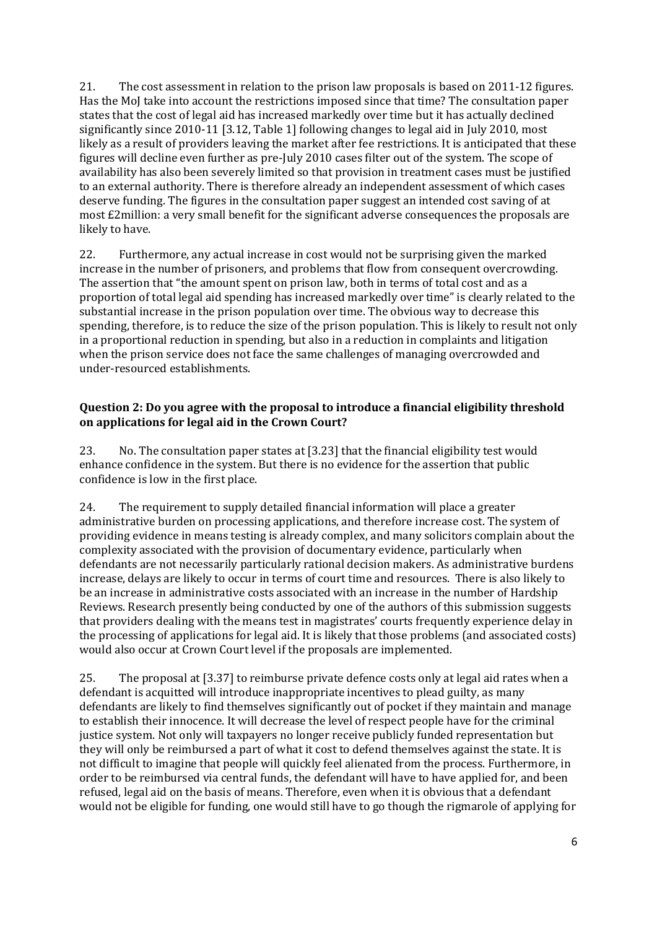21. The cost assessment in relation to the prison law proposals is based on 2011-12 figures. Has the MoJ take into account the restrictions imposed since that time? The consultation paper states that the cost of legal aid has increased markedly over time but it has actually declined significantly since 2010-11 [3.12, Table 1] following changes to legal aid in July 2010, most likely as a result of providers leaving the market after fee restrictions. It is anticipated that these figures will decline even further as pre-July 2010 cases filter out of the system. The scope of availability has also been severely limited so that provision in treatment cases must be justified to an external authority. There is therefore already an independent assessment of which cases deserve funding. The figures in the consultation paper suggest an intended cost saving of at most £2million: a very small benefit for the significant adverse consequences the proposals are likely to have.

22. Furthermore, any actual increase in cost would not be surprising given the marked increase in the number of prisoners, and problems that flow from consequent overcrowding. The assertion that "the amount spent on prison law, both in terms of total cost and as a proportion of total legal aid spending has increased markedly over time" is clearly related to the substantial increase in the prison population over time. The obvious way to decrease this spending, therefore, is to reduce the size of the prison population. This is likely to result not only in a proportional reduction in spending, but also in a reduction in complaints and litigation when the prison service does not face the same challenges of managing overcrowded and under-resourced establishments.

### **Question 2: Do you agree with the proposal to introduce a financial eligibility threshold on applications for legal aid in the Crown Court?**

23. No. The consultation paper states at [3.23] that the financial eligibility test would enhance confidence in the system. But there is no evidence for the assertion that public confidence is low in the first place.

24. The requirement to supply detailed financial information will place a greater administrative burden on processing applications, and therefore increase cost. The system of providing evidence in means testing is already complex, and many solicitors complain about the complexity associated with the provision of documentary evidence, particularly when defendants are not necessarily particularly rational decision makers. As administrative burdens increase, delays are likely to occur in terms of court time and resources. There is also likely to be an increase in administrative costs associated with an increase in the number of Hardship Reviews. Research presently being conducted by one of the authors of this submission suggests that providers dealing with the means test in magistrates' courts frequently experience delay in the processing of applications for legal aid. It is likely that those problems (and associated costs) would also occur at Crown Court level if the proposals are implemented.

25. The proposal at [3.37] to reimburse private defence costs only at legal aid rates when a defendant is acquitted will introduce inappropriate incentives to plead guilty, as many defendants are likely to find themselves significantly out of pocket if they maintain and manage to establish their innocence. It will decrease the level of respect people have for the criminal justice system. Not only will taxpayers no longer receive publicly funded representation but they will only be reimbursed a part of what it cost to defend themselves against the state. It is not difficult to imagine that people will quickly feel alienated from the process. Furthermore, in order to be reimbursed via central funds, the defendant will have to have applied for, and been refused, legal aid on the basis of means. Therefore, even when it is obvious that a defendant would not be eligible for funding, one would still have to go though the rigmarole of applying for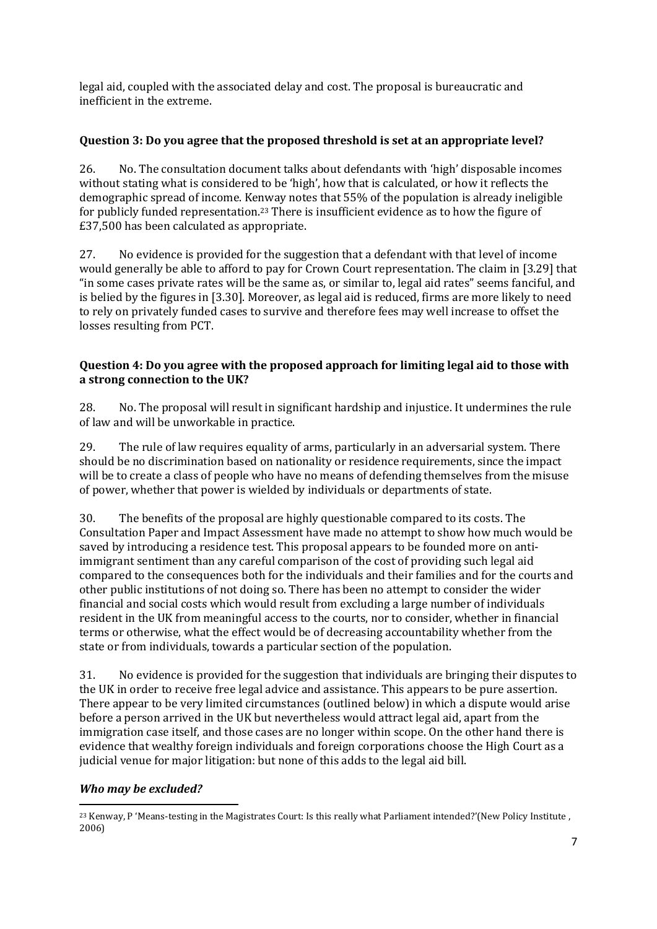legal aid, coupled with the associated delay and cost. The proposal is bureaucratic and inefficient in the extreme.

# **Question 3: Do you agree that the proposed threshold is set at an appropriate level?**

26. No. The consultation document talks about defendants with 'high' disposable incomes without stating what is considered to be 'high', how that is calculated, or how it reflects the demographic spread of income. Kenway notes that 55% of the population is already ineligible for publicly funded representation.<sup>23</sup> There is insufficient evidence as to how the figure of £37,500 has been calculated as appropriate.

27. No evidence is provided for the suggestion that a defendant with that level of income would generally be able to afford to pay for Crown Court representation. The claim in [3.29] that "in some cases private rates will be the same as, or similar to, legal aid rates" seems fanciful, and is belied by the figures in [3.30]. Moreover, as legal aid is reduced, firms are more likely to need to rely on privately funded cases to survive and therefore fees may well increase to offset the losses resulting from PCT.

# **Question 4: Do you agree with the proposed approach for limiting legal aid to those with a strong connection to the UK?**

28. No. The proposal will result in significant hardship and injustice. It undermines the rule of law and will be unworkable in practice.

29. The rule of law requires equality of arms, particularly in an adversarial system. There should be no discrimination based on nationality or residence requirements, since the impact will be to create a class of people who have no means of defending themselves from the misuse of power, whether that power is wielded by individuals or departments of state.

30. The benefits of the proposal are highly questionable compared to its costs. The Consultation Paper and Impact Assessment have made no attempt to show how much would be saved by introducing a residence test. This proposal appears to be founded more on antiimmigrant sentiment than any careful comparison of the cost of providing such legal aid compared to the consequences both for the individuals and their families and for the courts and other public institutions of not doing so. There has been no attempt to consider the wider financial and social costs which would result from excluding a large number of individuals resident in the UK from meaningful access to the courts, nor to consider, whether in financial terms or otherwise, what the effect would be of decreasing accountability whether from the state or from individuals, towards a particular section of the population.

31. No evidence is provided for the suggestion that individuals are bringing their disputes to the UK in order to receive free legal advice and assistance. This appears to be pure assertion. There appear to be very limited circumstances (outlined below) in which a dispute would arise before a person arrived in the UK but nevertheless would attract legal aid, apart from the immigration case itself, and those cases are no longer within scope. On the other hand there is evidence that wealthy foreign individuals and foreign corporations choose the High Court as a judicial venue for major litigation: but none of this adds to the legal aid bill.

## *Who may be excluded?*

**<sup>.</sup>** <sup>23</sup> Kenway, P 'Means-testing in the Magistrates Court: Is this really what Parliament intended?'(New Policy Institute , 2006)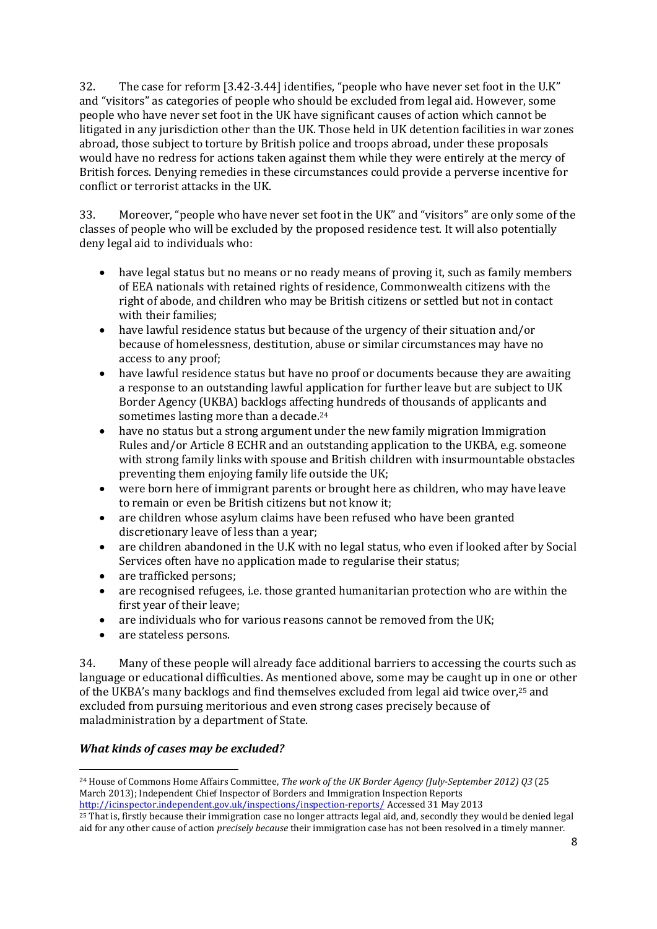32. The case for reform [3.42-3.44] identifies, "people who have never set foot in the U.K" and "visitors" as categories of people who should be excluded from legal aid. However, some people who have never set foot in the UK have significant causes of action which cannot be litigated in any jurisdiction other than the UK. Those held in UK detention facilities in war zones abroad, those subject to torture by British police and troops abroad, under these proposals would have no redress for actions taken against them while they were entirely at the mercy of British forces. Denying remedies in these circumstances could provide a perverse incentive for conflict or terrorist attacks in the UK.

33. Moreover, "people who have never set foot in the UK" and "visitors" are only some of the classes of people who will be excluded by the proposed residence test. It will also potentially deny legal aid to individuals who:

- have legal status but no means or no ready means of proving it, such as family members of EEA nationals with retained rights of residence, Commonwealth citizens with the right of abode, and children who may be British citizens or settled but not in contact with their families;
- have lawful residence status but because of the urgency of their situation and/or because of homelessness, destitution, abuse or similar circumstances may have no access to any proof;
- have lawful residence status but have no proof or documents because they are awaiting a response to an outstanding lawful application for further leave but are subject to UK Border Agency (UKBA) backlogs affecting hundreds of thousands of applicants and sometimes lasting more than a decade.<sup>24</sup>
- have no status but a strong argument under the new family migration Immigration Rules and/or Article 8 ECHR and an outstanding application to the UKBA, e.g. someone with strong family links with spouse and British children with insurmountable obstacles preventing them enjoying family life outside the UK;
- were born here of immigrant parents or brought here as children, who may have leave to remain or even be British citizens but not know it;
- are children whose asylum claims have been refused who have been granted discretionary leave of less than a year;
- are children abandoned in the U.K with no legal status, who even if looked after by Social Services often have no application made to regularise their status;
- are trafficked persons:
- are recognised refugees, i.e. those granted humanitarian protection who are within the first year of their leave;
- are individuals who for various reasons cannot be removed from the UK;
- are stateless persons.

34. Many of these people will already face additional barriers to accessing the courts such as language or educational difficulties. As mentioned above, some may be caught up in one or other of the UKBA's many backlogs and find themselves excluded from legal aid twice over, <sup>25</sup> and excluded from pursuing meritorious and even strong cases precisely because of maladministration by a department of State.

## *What kinds of cases may be excluded?*

 $\overline{\phantom{a}}$ 

<sup>24</sup> House of Commons Home Affairs Committee, *The work of the UK Border Agency (July-September 2012) Q3* (25 March 2013); Independent Chief Inspector of Borders and Immigration Inspection Reports <http://icinspector.independent.gov.uk/inspections/inspection-reports/> Accessed 31 May 2013

<sup>25</sup> That is, firstly because their immigration case no longer attracts legal aid, and, secondly they would be denied legal aid for any other cause of action *precisely because* their immigration case has not been resolved in a timely manner.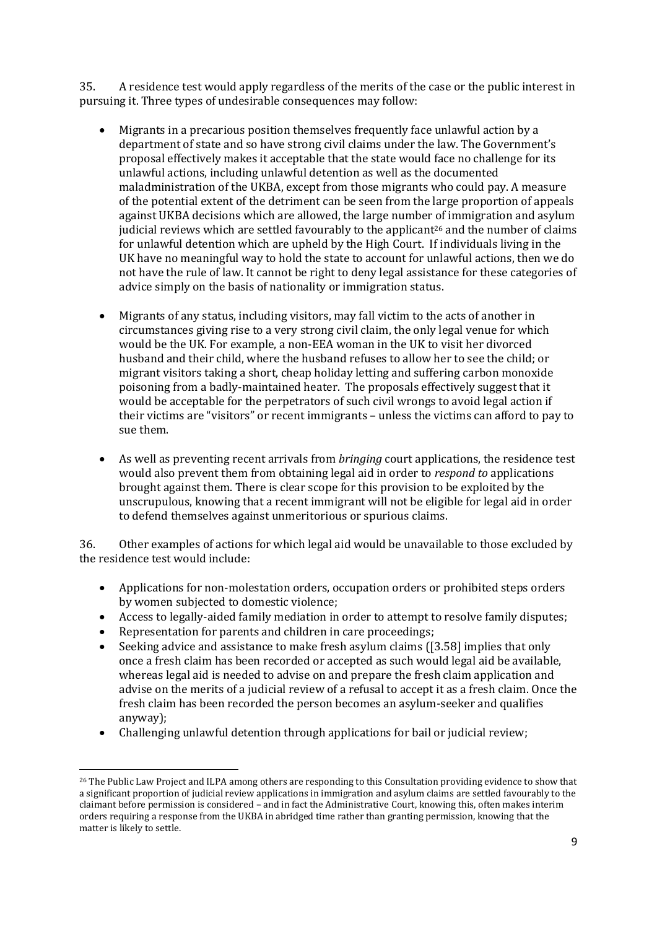35. A residence test would apply regardless of the merits of the case or the public interest in pursuing it. Three types of undesirable consequences may follow:

- Migrants in a precarious position themselves frequently face unlawful action by a department of state and so have strong civil claims under the law. The Government's proposal effectively makes it acceptable that the state would face no challenge for its unlawful actions, including unlawful detention as well as the documented maladministration of the UKBA, except from those migrants who could pay. A measure of the potential extent of the detriment can be seen from the large proportion of appeals against UKBA decisions which are allowed, the large number of immigration and asylum judicial reviews which are settled favourably to the applicant<sup>26</sup> and the number of claims for unlawful detention which are upheld by the High Court. If individuals living in the UK have no meaningful way to hold the state to account for unlawful actions, then we do not have the rule of law. It cannot be right to deny legal assistance for these categories of advice simply on the basis of nationality or immigration status.
- Migrants of any status, including visitors, may fall victim to the acts of another in circumstances giving rise to a very strong civil claim, the only legal venue for which would be the UK. For example, a non-EEA woman in the UK to visit her divorced husband and their child, where the husband refuses to allow her to see the child; or migrant visitors taking a short, cheap holiday letting and suffering carbon monoxide poisoning from a badly-maintained heater. The proposals effectively suggest that it would be acceptable for the perpetrators of such civil wrongs to avoid legal action if their victims are "visitors" or recent immigrants – unless the victims can afford to pay to sue them.
- As well as preventing recent arrivals from *bringing* court applications, the residence test would also prevent them from obtaining legal aid in order to *respond to* applications brought against them. There is clear scope for this provision to be exploited by the unscrupulous, knowing that a recent immigrant will not be eligible for legal aid in order to defend themselves against unmeritorious or spurious claims.

36. Other examples of actions for which legal aid would be unavailable to those excluded by the residence test would include:

- Applications for non-molestation orders, occupation orders or prohibited steps orders by women subjected to domestic violence;
- Access to legally-aided family mediation in order to attempt to resolve family disputes;
- Representation for parents and children in care proceedings;

 $\overline{\phantom{a}}$ 

- Seeking advice and assistance to make fresh asylum claims ([3.58] implies that only once a fresh claim has been recorded or accepted as such would legal aid be available, whereas legal aid is needed to advise on and prepare the fresh claim application and advise on the merits of a judicial review of a refusal to accept it as a fresh claim. Once the fresh claim has been recorded the person becomes an asylum-seeker and qualifies anyway);
- Challenging unlawful detention through applications for bail or judicial review;

<sup>&</sup>lt;sup>26</sup> The Public Law Project and ILPA among others are responding to this Consultation providing evidence to show that a significant proportion of judicial review applications in immigration and asylum claims are settled favourably to the claimant before permission is considered – and in fact the Administrative Court, knowing this, often makes interim orders requiring a response from the UKBA in abridged time rather than granting permission, knowing that the matter is likely to settle.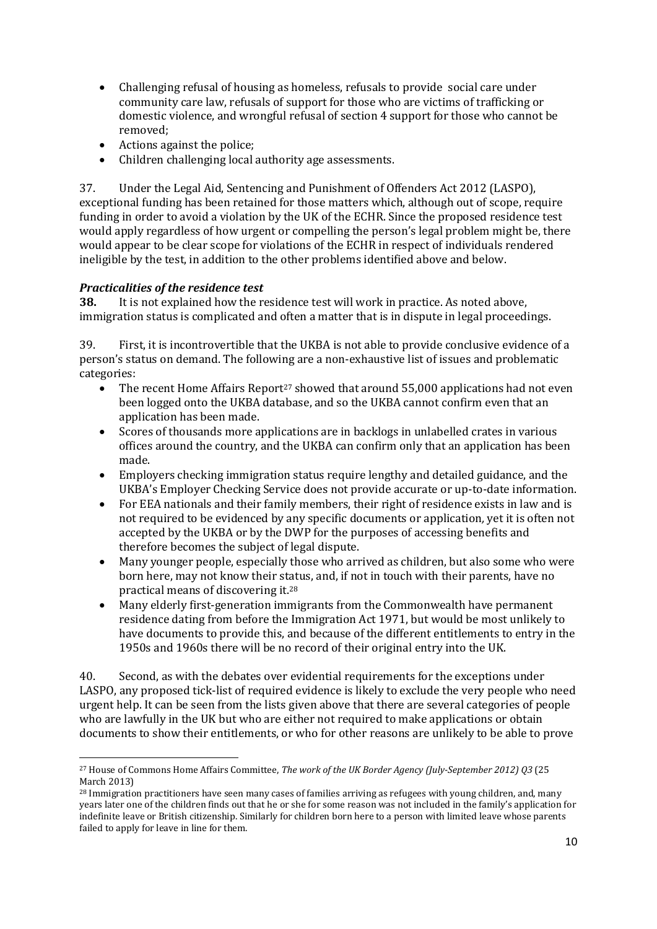- Challenging refusal of housing as homeless, refusals to provide social care under community care law, refusals of support for those who are victims of trafficking or domestic violence, and wrongful refusal of section 4 support for those who cannot be removed;
- Actions against the police;
- Children challenging local authority age assessments.

37. Under the Legal Aid, Sentencing and Punishment of Offenders Act 2012 (LASPO), exceptional funding has been retained for those matters which, although out of scope, require funding in order to avoid a violation by the UK of the ECHR. Since the proposed residence test would apply regardless of how urgent or compelling the person's legal problem might be, there would appear to be clear scope for violations of the ECHR in respect of individuals rendered ineligible by the test, in addition to the other problems identified above and below.

# *Practicalities of the residence test*

1

**38.** It is not explained how the residence test will work in practice. As noted above, immigration status is complicated and often a matter that is in dispute in legal proceedings.

39. First, it is incontrovertible that the UKBA is not able to provide conclusive evidence of a person's status on demand. The following are a non-exhaustive list of issues and problematic categories:

- The recent Home Affairs Report<sup>27</sup> showed that around 55,000 applications had not even been logged onto the UKBA database, and so the UKBA cannot confirm even that an application has been made.
- Scores of thousands more applications are in backlogs in unlabelled crates in various offices around the country, and the UKBA can confirm only that an application has been made.
- Employers checking immigration status require lengthy and detailed guidance, and the UKBA's Employer Checking Service does not provide accurate or up-to-date information.
- For EEA nationals and their family members, their right of residence exists in law and is not required to be evidenced by any specific documents or application*,* yet it is often not accepted by the UKBA or by the DWP for the purposes of accessing benefits and therefore becomes the subject of legal dispute.
- Many younger people, especially those who arrived as children, but also some who were born here, may not know their status, and, if not in touch with their parents, have no practical means of discovering it. 28
- Many elderly first-generation immigrants from the Commonwealth have permanent residence dating from before the Immigration Act 1971, but would be most unlikely to have documents to provide this, and because of the different entitlements to entry in the 1950s and 1960s there will be no record of their original entry into the UK.

40. Second, as with the debates over evidential requirements for the exceptions under LASPO, any proposed tick-list of required evidence is likely to exclude the very people who need urgent help. It can be seen from the lists given above that there are several categories of people who are lawfully in the UK but who are either not required to make applications or obtain documents to show their entitlements, or who for other reasons are unlikely to be able to prove

<sup>27</sup> House of Commons Home Affairs Committee, *The work of the UK Border Agency (July-September 2012) Q3* (25 March 2013)

<sup>28</sup> Immigration practitioners have seen many cases of families arriving as refugees with young children, and, many years later one of the children finds out that he or she for some reason was not included in the family's application for indefinite leave or British citizenship. Similarly for children born here to a person with limited leave whose parents failed to apply for leave in line for them.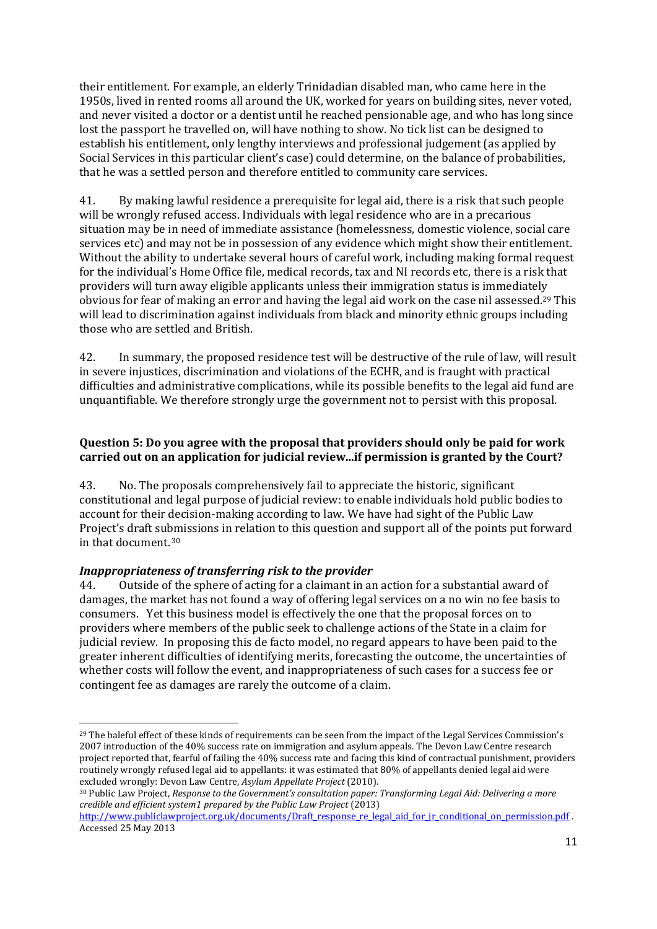their entitlement. For example, an elderly Trinidadian disabled man, who came here in the 1950s, lived in rented rooms all around the UK, worked for years on building sites, never voted, and never visited a doctor or a dentist until he reached pensionable age, and who has long since lost the passport he travelled on, will have nothing to show. No tick list can be designed to establish his entitlement, only lengthy interviews and professional judgement (as applied by Social Services in this particular client's case) could determine, on the balance of probabilities, that he was a settled person and therefore entitled to community care services.

41. By making lawful residence a prerequisite for legal aid, there is a risk that such people will be wrongly refused access. Individuals with legal residence who are in a precarious situation may be in need of immediate assistance (homelessness, domestic violence, social care services etc) and may not be in possession of any evidence which might show their entitlement. Without the ability to undertake several hours of careful work, including making formal request for the individual's Home Office file, medical records, tax and NI records etc, there is a risk that providers will turn away eligible applicants unless their immigration status is immediately obvious for fear of making an error and having the legal aid work on the case nil assessed. <sup>29</sup> This will lead to discrimination against individuals from black and minority ethnic groups including those who are settled and British.

42. In summary, the proposed residence test will be destructive of the rule of law, will result in severe injustices, discrimination and violations of the ECHR, and is fraught with practical difficulties and administrative complications, while its possible benefits to the legal aid fund are unquantifiable. We therefore strongly urge the government not to persist with this proposal.

# **Question 5: Do you agree with the proposal that providers should only be paid for work carried out on an application for judicial review...if permission is granted by the Court?**

43. No. The proposals comprehensively fail to appreciate the historic, significant constitutional and legal purpose of judicial review: to enable individuals hold public bodies to account for their decision-making according to law. We have had sight of the Public Law Project's draft submissions in relation to this question and support all of the points put forward in that document. 30

## *Inappropriateness of transferring risk to the provider*

44. Outside of the sphere of acting for a claimant in an action for a substantial award of damages, the market has not found a way of offering legal services on a no win no fee basis to consumers. Yet this business model is effectively the one that the proposal forces on to providers where members of the public seek to challenge actions of the State in a claim for judicial review. In proposing this de facto model, no regard appears to have been paid to the greater inherent difficulties of identifying merits, forecasting the outcome, the uncertainties of whether costs will follow the event, and inappropriateness of such cases for a success fee or contingent fee as damages are rarely the outcome of a claim.

**<sup>.</sup>** <sup>29</sup> The baleful effect of these kinds of requirements can be seen from the impact of the Legal Services Commission's 2007 introduction of the 40% success rate on immigration and asylum appeals. The Devon Law Centre research project reported that, fearful of failing the 40% success rate and facing this kind of contractual punishment, providers routinely wrongly refused legal aid to appellants: it was estimated that 80% of appellants denied legal aid were excluded wrongly: Devon Law Centre, *Asylum Appellate Project* (2010).

<sup>30</sup> Public Law Project, *Response to the Government's consultation paper: Transforming Legal Aid: Delivering a more credible and efficient system1 prepared by the Public Law Project* (2013)

[http://www.publiclawproject.org.uk/documents/Draft\\_response\\_re\\_legal\\_aid\\_for\\_jr\\_conditional\\_on\\_permission.pdf](http://www.publiclawproject.org.uk/documents/Draft_response_re_legal_aid_for_jr_conditional_on_permission.pdf) . Accessed 25 May 2013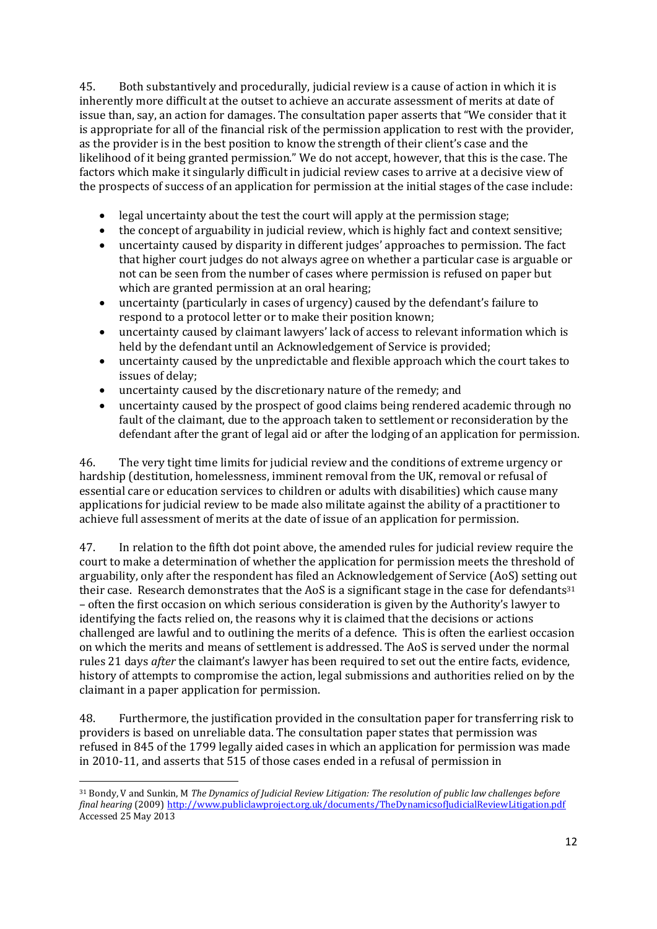45. Both substantively and procedurally, judicial review is a cause of action in which it is inherently more difficult at the outset to achieve an accurate assessment of merits at date of issue than, say, an action for damages. The consultation paper asserts that "We consider that it is appropriate for all of the financial risk of the permission application to rest with the provider, as the provider is in the best position to know the strength of their client's case and the likelihood of it being granted permission." We do not accept, however, that this is the case. The factors which make it singularly difficult in judicial review cases to arrive at a decisive view of the prospects of success of an application for permission at the initial stages of the case include:

- legal uncertainty about the test the court will apply at the permission stage;
- the concept of arguability in judicial review, which is highly fact and context sensitive;
- uncertainty caused by disparity in different judges' approaches to permission. The fact that higher court judges do not always agree on whether a particular case is arguable or not can be seen from the number of cases where permission is refused on paper but which are granted permission at an oral hearing;
- uncertainty (particularly in cases of urgency) caused by the defendant's failure to respond to a protocol letter or to make their position known;
- uncertainty caused by claimant lawyers' lack of access to relevant information which is held by the defendant until an Acknowledgement of Service is provided;
- uncertainty caused by the unpredictable and flexible approach which the court takes to issues of delay;
- uncertainty caused by the discretionary nature of the remedy; and
- uncertainty caused by the prospect of good claims being rendered academic through no fault of the claimant, due to the approach taken to settlement or reconsideration by the defendant after the grant of legal aid or after the lodging of an application for permission.

46. The very tight time limits for judicial review and the conditions of extreme urgency or hardship (destitution, homelessness, imminent removal from the UK, removal or refusal of essential care or education services to children or adults with disabilities) which cause many applications for judicial review to be made also militate against the ability of a practitioner to achieve full assessment of merits at the date of issue of an application for permission.

47. In relation to the fifth dot point above, the amended rules for judicial review require the court to make a determination of whether the application for permission meets the threshold of arguability, only after the respondent has filed an Acknowledgement of Service (AoS) setting out their case. Research demonstrates that the AoS is a significant stage in the case for defendants<sup>31</sup> – often the first occasion on which serious consideration is given by the Authority's lawyer to identifying the facts relied on, the reasons why it is claimed that the decisions or actions challenged are lawful and to outlining the merits of a defence. This is often the earliest occasion on which the merits and means of settlement is addressed. The AoS is served under the normal rules 21 days *after* the claimant's lawyer has been required to set out the entire facts, evidence, history of attempts to compromise the action, legal submissions and authorities relied on by the claimant in a paper application for permission.

48. Furthermore, the justification provided in the consultation paper for transferring risk to providers is based on unreliable data. The consultation paper states that permission was refused in 845 of the 1799 legally aided cases in which an application for permission was made in 2010-11, and asserts that 515 of those cases ended in a refusal of permission in

<sup>31</sup> Bondy, V and Sunkin, M *The Dynamics of Judicial Review Litigation: The resolution of public law challenges before final hearing* (2009) <http://www.publiclawproject.org.uk/documents/TheDynamicsofJudicialReviewLitigation.pdf> Accessed 25 May 2013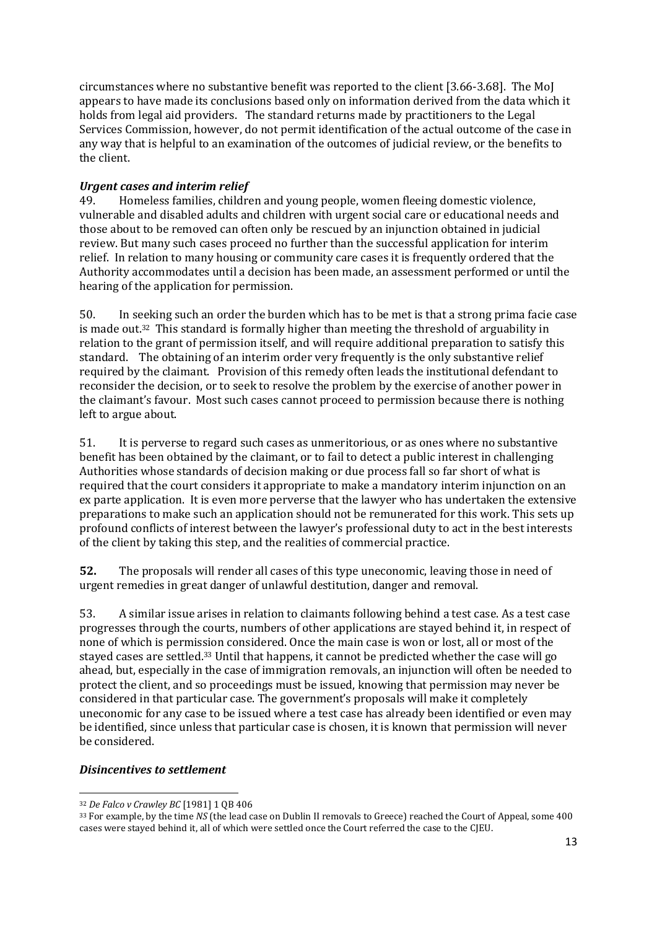circumstances where no substantive benefit was reported to the client [3.66-3.68]. The MoJ appears to have made its conclusions based only on information derived from the data which it holds from legal aid providers. The standard returns made by practitioners to the Legal Services Commission, however, do not permit identification of the actual outcome of the case in any way that is helpful to an examination of the outcomes of judicial review, or the benefits to the client.

# *Urgent cases and interim relief*

49. Homeless families, children and young people, women fleeing domestic violence, vulnerable and disabled adults and children with urgent social care or educational needs and those about to be removed can often only be rescued by an injunction obtained in judicial review. But many such cases proceed no further than the successful application for interim relief. In relation to many housing or community care cases it is frequently ordered that the Authority accommodates until a decision has been made, an assessment performed or until the hearing of the application for permission.

50. In seeking such an order the burden which has to be met is that a strong prima facie case is made out.32 This standard is formally higher than meeting the threshold of arguability in relation to the grant of permission itself, and will require additional preparation to satisfy this standard. The obtaining of an interim order very frequently is the only substantive relief required by the claimant. Provision of this remedy often leads the institutional defendant to reconsider the decision, or to seek to resolve the problem by the exercise of another power in the claimant's favour. Most such cases cannot proceed to permission because there is nothing left to argue about.

51. It is perverse to regard such cases as unmeritorious, or as ones where no substantive benefit has been obtained by the claimant, or to fail to detect a public interest in challenging Authorities whose standards of decision making or due process fall so far short of what is required that the court considers it appropriate to make a mandatory interim injunction on an ex parte application. It is even more perverse that the lawyer who has undertaken the extensive preparations to make such an application should not be remunerated for this work. This sets up profound conflicts of interest between the lawyer's professional duty to act in the best interests of the client by taking this step, and the realities of commercial practice.

**52.** The proposals will render all cases of this type uneconomic, leaving those in need of urgent remedies in great danger of unlawful destitution, danger and removal.

53. A similar issue arises in relation to claimants following behind a test case. As a test case progresses through the courts, numbers of other applications are stayed behind it, in respect of none of which is permission considered. Once the main case is won or lost, all or most of the stayed cases are settled.<sup>33</sup> Until that happens, it cannot be predicted whether the case will go ahead, but, especially in the case of immigration removals, an injunction will often be needed to protect the client, and so proceedings must be issued, knowing that permission may never be considered in that particular case. The government's proposals will make it completely uneconomic for any case to be issued where a test case has already been identified or even may be identified, since unless that particular case is chosen, it is known that permission will never be considered.

## *Disincentives to settlement*

**<sup>.</sup>** <sup>32</sup> *De Falco v Crawley BC* [1981] 1 QB 406

<sup>33</sup> For example, by the time *NS* (the lead case on Dublin II removals to Greece) reached the Court of Appeal, some 400 cases were stayed behind it, all of which were settled once the Court referred the case to the CJEU.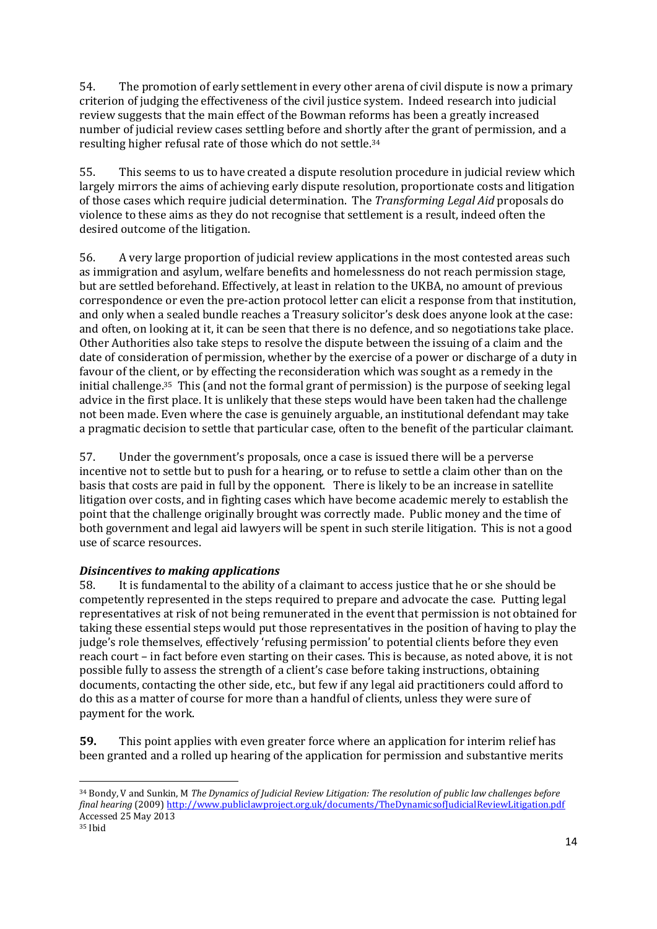54. The promotion of early settlement in every other arena of civil dispute is now a primary criterion of judging the effectiveness of the civil justice system. Indeed research into judicial review suggests that the main effect of the Bowman reforms has been a greatly increased number of judicial review cases settling before and shortly after the grant of permission, and a resulting higher refusal rate of those which do not settle.<sup>34</sup>

55. This seems to us to have created a dispute resolution procedure in judicial review which largely mirrors the aims of achieving early dispute resolution, proportionate costs and litigation of those cases which require judicial determination. The *Transforming Legal Aid* proposals do violence to these aims as they do not recognise that settlement is a result, indeed often the desired outcome of the litigation.

56. A very large proportion of judicial review applications in the most contested areas such as immigration and asylum, welfare benefits and homelessness do not reach permission stage, but are settled beforehand. Effectively, at least in relation to the UKBA, no amount of previous correspondence or even the pre-action protocol letter can elicit a response from that institution, and only when a sealed bundle reaches a Treasury solicitor's desk does anyone look at the case: and often, on looking at it, it can be seen that there is no defence, and so negotiations take place. Other Authorities also take steps to resolve the dispute between the issuing of a claim and the date of consideration of permission, whether by the exercise of a power or discharge of a duty in favour of the client, or by effecting the reconsideration which was sought as a remedy in the initial challenge.35 This (and not the formal grant of permission) is the purpose of seeking legal advice in the first place. It is unlikely that these steps would have been taken had the challenge not been made. Even where the case is genuinely arguable, an institutional defendant may take a pragmatic decision to settle that particular case, often to the benefit of the particular claimant.

57. Under the government's proposals, once a case is issued there will be a perverse incentive not to settle but to push for a hearing, or to refuse to settle a claim other than on the basis that costs are paid in full by the opponent. There is likely to be an increase in satellite litigation over costs, and in fighting cases which have become academic merely to establish the point that the challenge originally brought was correctly made. Public money and the time of both government and legal aid lawyers will be spent in such sterile litigation. This is not a good use of scarce resources.

# *Disincentives to making applications*

58. It is fundamental to the ability of a claimant to access justice that he or she should be competently represented in the steps required to prepare and advocate the case. Putting legal representatives at risk of not being remunerated in the event that permission is not obtained for taking these essential steps would put those representatives in the position of having to play the judge's role themselves, effectively 'refusing permission' to potential clients before they even reach court – in fact before even starting on their cases. This is because, as noted above, it is not possible fully to assess the strength of a client's case before taking instructions, obtaining documents, contacting the other side, etc., but few if any legal aid practitioners could afford to do this as a matter of course for more than a handful of clients, unless they were sure of payment for the work.

**59.** This point applies with even greater force where an application for interim relief has been granted and a rolled up hearing of the application for permission and substantive merits

<sup>34</sup> Bondy, V and Sunkin, M *The Dynamics of Judicial Review Litigation: The resolution of public law challenges before final hearing* (2009) <http://www.publiclawproject.org.uk/documents/TheDynamicsofJudicialReviewLitigation.pdf> Accessed 25 May 2013

<sup>35</sup> Ibid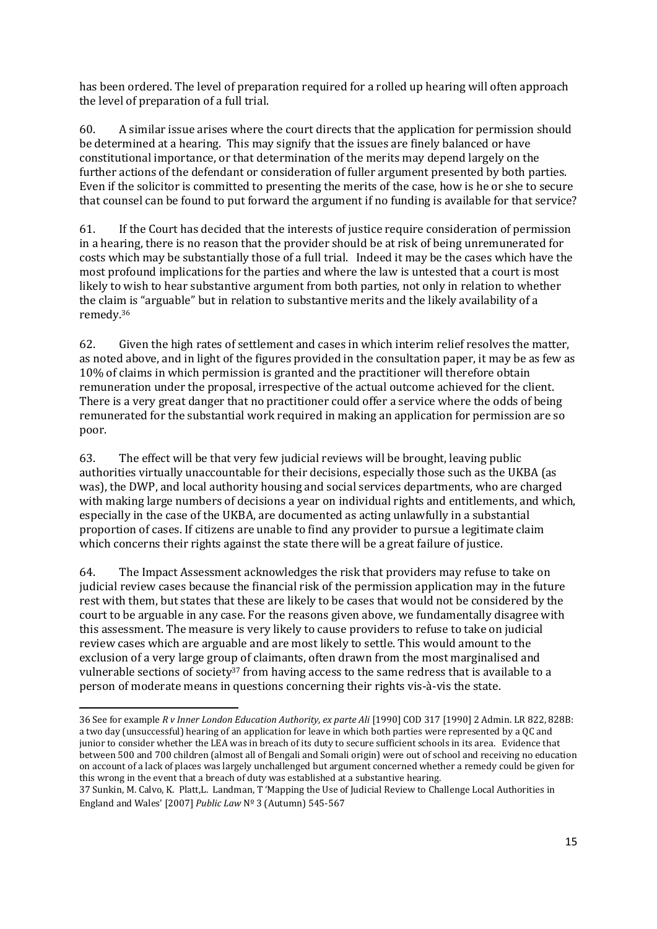has been ordered. The level of preparation required for a rolled up hearing will often approach the level of preparation of a full trial.

60. A similar issue arises where the court directs that the application for permission should be determined at a hearing. This may signify that the issues are finely balanced or have constitutional importance, or that determination of the merits may depend largely on the further actions of the defendant or consideration of fuller argument presented by both parties. Even if the solicitor is committed to presenting the merits of the case, how is he or she to secure that counsel can be found to put forward the argument if no funding is available for that service?

61. If the Court has decided that the interests of justice require consideration of permission in a hearing, there is no reason that the provider should be at risk of being unremunerated for costs which may be substantially those of a full trial. Indeed it may be the cases which have the most profound implications for the parties and where the law is untested that a court is most likely to wish to hear substantive argument from both parties, not only in relation to whether the claim is "arguable" but in relation to substantive merits and the likely availability of a remedy.<sup>36</sup>

62. Given the high rates of settlement and cases in which interim relief resolves the matter, as noted above, and in light of the figures provided in the consultation paper, it may be as few as 10% of claims in which permission is granted and the practitioner will therefore obtain remuneration under the proposal, irrespective of the actual outcome achieved for the client. There is a very great danger that no practitioner could offer a service where the odds of being remunerated for the substantial work required in making an application for permission are so poor.

63. The effect will be that very few judicial reviews will be brought, leaving public authorities virtually unaccountable for their decisions, especially those such as the UKBA (as was), the DWP, and local authority housing and social services departments, who are charged with making large numbers of decisions a year on individual rights and entitlements, and which, especially in the case of the UKBA, are documented as acting unlawfully in a substantial proportion of cases. If citizens are unable to find any provider to pursue a legitimate claim which concerns their rights against the state there will be a great failure of justice.

64. The Impact Assessment acknowledges the risk that providers may refuse to take on judicial review cases because the financial risk of the permission application may in the future rest with them, but states that these are likely to be cases that would not be considered by the court to be arguable in any case. For the reasons given above, we fundamentally disagree with this assessment. The measure is very likely to cause providers to refuse to take on judicial review cases which are arguable and are most likely to settle. This would amount to the exclusion of a very large group of claimants, often drawn from the most marginalised and vulnerable sections of society<sup>37</sup> from having access to the same redress that is available to a person of moderate means in questions concerning their rights vis-à-vis the state.

<sup>1</sup> 36 See for example *R v Inner London Education Authority, ex parte Ali* [1990] COD 317 [1990] 2 Admin. LR 822, 828B: a two day (unsuccessful) hearing of an application for leave in which both parties were represented by a QC and junior to consider whether the LEA was in breach of its duty to secure sufficient schools in its area. Evidence that between 500 and 700 children (almost all of Bengali and Somali origin) were out of school and receiving no education on account of a lack of places was largely unchallenged but argument concerned whether a remedy could be given for this wrong in the event that a breach of duty was established at a substantive hearing.

<sup>37</sup> [Sunkin,](http://dialnet.unirioja.es/servlet/autor?codigo=920973) M[. Calvo,](http://dialnet.unirioja.es/servlet/autor?codigo=333499) K. [Platt,](http://dialnet.unirioja.es/servlet/autor?codigo=2224407)L. [Landman,](http://dialnet.unirioja.es/servlet/autor?codigo=2224409) T 'Mapping the Use of Judicial Review to Challenge Local Authorities in England and Wales' [2007] *[Public Law](http://dialnet.unirioja.es/servlet/revista?codigo=1077)* [Nº 3 \(Autumn\)](http://dialnet.unirioja.es/servlet/listaarticulos?tipo_busqueda=EJEMPLAR&revista_busqueda=1077&clave_busqueda=194332) 545-567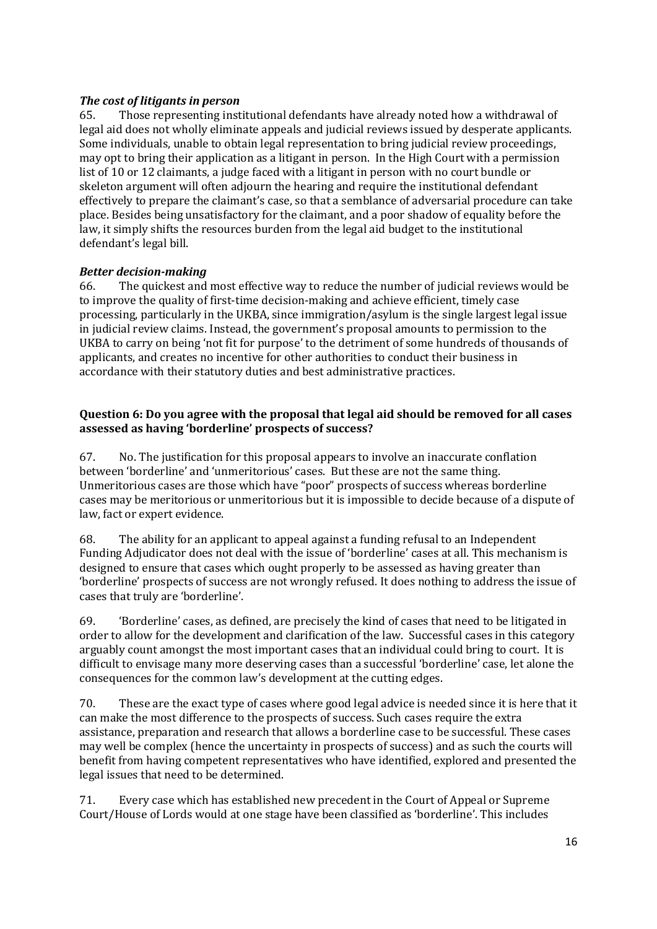# *The cost of litigants in person*

65. Those representing institutional defendants have already noted how a withdrawal of legal aid does not wholly eliminate appeals and judicial reviews issued by desperate applicants. Some individuals, unable to obtain legal representation to bring judicial review proceedings, may opt to bring their application as a litigant in person. In the High Court with a permission list of 10 or 12 claimants, a judge faced with a litigant in person with no court bundle or skeleton argument will often adjourn the hearing and require the institutional defendant effectively to prepare the claimant's case, so that a semblance of adversarial procedure can take place. Besides being unsatisfactory for the claimant, and a poor shadow of equality before the law, it simply shifts the resources burden from the legal aid budget to the institutional defendant's legal bill.

# *Better decision-making*

66. The quickest and most effective way to reduce the number of judicial reviews would be to improve the quality of first-time decision-making and achieve efficient, timely case processing, particularly in the UKBA, since immigration/asylum is the single largest legal issue in judicial review claims. Instead, the government's proposal amounts to permission to the UKBA to carry on being 'not fit for purpose' to the detriment of some hundreds of thousands of applicants, and creates no incentive for other authorities to conduct their business in accordance with their statutory duties and best administrative practices.

# **Question 6: Do you agree with the proposal that legal aid should be removed for all cases assessed as having 'borderline' prospects of success?**

67. No. The justification for this proposal appears to involve an inaccurate conflation between 'borderline' and 'unmeritorious' cases. But these are not the same thing. Unmeritorious cases are those which have "poor" prospects of success whereas borderline cases may be meritorious or unmeritorious but it is impossible to decide because of a dispute of law, fact or expert evidence.

68. The ability for an applicant to appeal against a funding refusal to an Independent Funding Adjudicator does not deal with the issue of 'borderline' cases at all. This mechanism is designed to ensure that cases which ought properly to be assessed as having greater than 'borderline' prospects of success are not wrongly refused. It does nothing to address the issue of cases that truly are 'borderline'.

69. 'Borderline' cases, as defined, are precisely the kind of cases that need to be litigated in order to allow for the development and clarification of the law. Successful cases in this category arguably count amongst the most important cases that an individual could bring to court. It is difficult to envisage many more deserving cases than a successful 'borderline' case, let alone the consequences for the common law's development at the cutting edges.

70. These are the exact type of cases where good legal advice is needed since it is here that it can make the most difference to the prospects of success. Such cases require the extra assistance, preparation and research that allows a borderline case to be successful. These cases may well be complex (hence the uncertainty in prospects of success) and as such the courts will benefit from having competent representatives who have identified, explored and presented the legal issues that need to be determined.

71. Every case which has established new precedent in the Court of Appeal or Supreme Court/House of Lords would at one stage have been classified as 'borderline'. This includes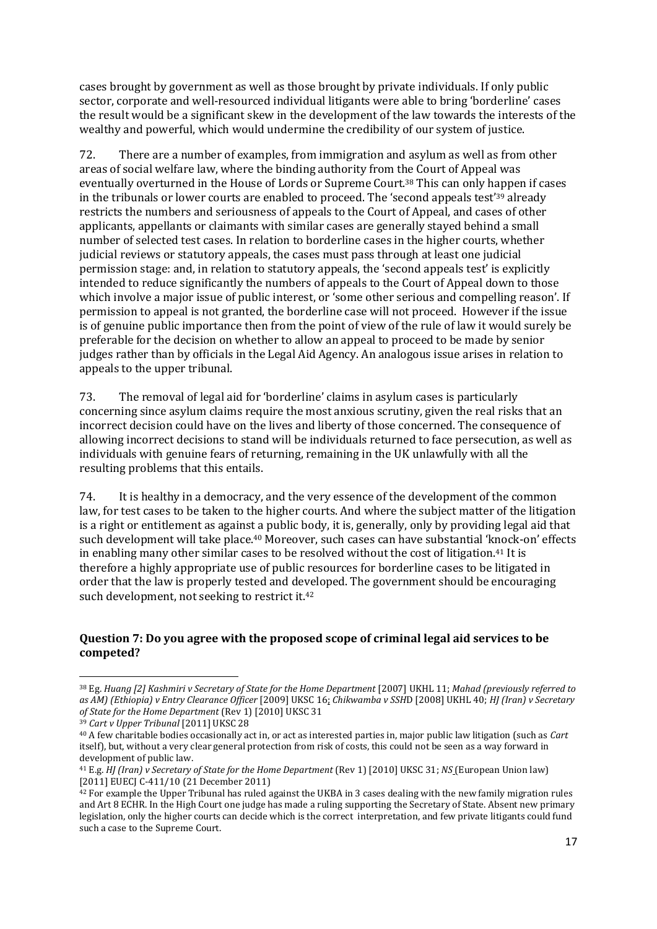cases brought by government as well as those brought by private individuals. If only public sector, corporate and well-resourced individual litigants were able to bring 'borderline' cases the result would be a significant skew in the development of the law towards the interests of the wealthy and powerful, which would undermine the credibility of our system of justice.

72. There are a number of examples, from immigration and asylum as well as from other areas of social welfare law, where the binding authority from the Court of Appeal was eventually overturned in the House of Lords or Supreme Court.<sup>38</sup> This can only happen if cases in the tribunals or lower courts are enabled to proceed. The 'second appeals test'<sup>39</sup> already restricts the numbers and seriousness of appeals to the Court of Appeal, and cases of other applicants, appellants or claimants with similar cases are generally stayed behind a small number of selected test cases. In relation to borderline cases in the higher courts, whether judicial reviews or statutory appeals, the cases must pass through at least one judicial permission stage: and, in relation to statutory appeals, the 'second appeals test' is explicitly intended to reduce significantly the numbers of appeals to the Court of Appeal down to those which involve a major issue of public interest, or 'some other serious and compelling reason'. If permission to appeal is not granted, the borderline case will not proceed. However if the issue is of genuine public importance then from the point of view of the rule of law it would surely be preferable for the decision on whether to allow an appeal to proceed to be made by senior judges rather than by officials in the Legal Aid Agency. An analogous issue arises in relation to appeals to the upper tribunal.

73. The removal of legal aid for 'borderline' claims in asylum cases is particularly concerning since asylum claims require the most anxious scrutiny, given the real risks that an incorrect decision could have on the lives and liberty of those concerned. The consequence of allowing incorrect decisions to stand will be individuals returned to face persecution, as well as individuals with genuine fears of returning, remaining in the UK unlawfully with all the resulting problems that this entails.

74. It is healthy in a democracy, and the very essence of the development of the common law, for test cases to be taken to the higher courts. And where the subject matter of the litigation is a right or entitlement as against a public body, it is, generally, only by providing legal aid that such development will take place. <sup>40</sup> Moreover, such cases can have substantial 'knock-on' effects in enabling many other similar cases to be resolved without the cost of litigation.<sup>41</sup> It is therefore a highly appropriate use of public resources for borderline cases to be litigated in order that the law is properly tested and developed. The government should be encouraging such development, not seeking to restrict it.<sup>42</sup>

#### **Question 7: Do you agree with the proposed scope of criminal legal aid services to be competed?**

<sup>1</sup> <sup>38</sup> Eg. *Huang [2] Kashmiri v Secretary of State for the Home Department* [2007] UKHL 11; *Mahad (previously referred to as AM) (Ethiopia) v Entry Clearance Officer* [2009] UKSC 16; *Chikwamba v SSH*D [2008] UKHL 40; *HJ (Iran) v Secretary of State for the Home Department* (Rev 1) [2010] UKSC 31

<sup>39</sup> *Cart v Upper Tribunal* [2011] UKSC 28

<sup>40</sup> A few charitable bodies occasionally act in, or act as interested parties in, major public law litigation (such as *Cart* itself), but, without a very clear general protection from risk of costs, this could not be seen as a way forward in development of public law.

<sup>41</sup> E.g. *HJ (Iran) v Secretary of State for the Home Department* (Rev 1) [2010] UKSC 31; *NS* (European Union law) [2011] EUECJ C-411/10 (21 December 2011)

<sup>&</sup>lt;sup>42</sup> For example the Upper Tribunal has ruled against the UKBA in 3 cases dealing with the new family migration rules and Art 8 ECHR. In the High Court one judge has made a ruling supporting the Secretary of State. Absent new primary legislation, only the higher courts can decide which is the correct interpretation, and few private litigants could fund such a case to the Supreme Court.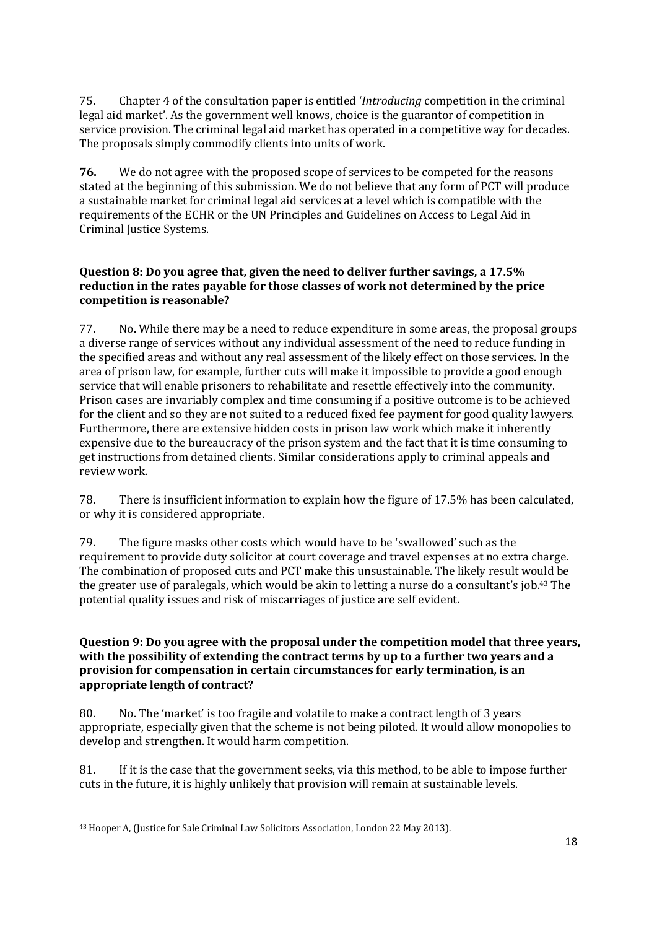75. Chapter 4 of the consultation paper is entitled '*Introducing* competition in the criminal legal aid market'. As the government well knows, choice is the guarantor of competition in service provision. The criminal legal aid market has operated in a competitive way for decades. The proposals simply commodify clients into units of work.

**76.** We do not agree with the proposed scope of services to be competed for the reasons stated at the beginning of this submission. We do not believe that any form of PCT will produce a sustainable market for criminal legal aid services at a level which is compatible with the requirements of the ECHR or the UN Principles and Guidelines on Access to Legal Aid in Criminal Justice Systems.

## **Question 8: Do you agree that, given the need to deliver further savings, a 17.5% reduction in the rates payable for those classes of work not determined by the price competition is reasonable?**

77. No. While there may be a need to reduce expenditure in some areas, the proposal groups a diverse range of services without any individual assessment of the need to reduce funding in the specified areas and without any real assessment of the likely effect on those services. In the area of prison law, for example, further cuts will make it impossible to provide a good enough service that will enable prisoners to rehabilitate and resettle effectively into the community. Prison cases are invariably complex and time consuming if a positive outcome is to be achieved for the client and so they are not suited to a reduced fixed fee payment for good quality lawyers. Furthermore, there are extensive hidden costs in prison law work which make it inherently expensive due to the bureaucracy of the prison system and the fact that it is time consuming to get instructions from detained clients. Similar considerations apply to criminal appeals and review work.

78. There is insufficient information to explain how the figure of 17.5% has been calculated, or why it is considered appropriate.

79. The figure masks other costs which would have to be 'swallowed' such as the requirement to provide duty solicitor at court coverage and travel expenses at no extra charge. The combination of proposed cuts and PCT make this unsustainable. The likely result would be the greater use of paralegals, which would be akin to letting a nurse do a consultant's job.<sup>43</sup> The potential quality issues and risk of miscarriages of justice are self evident.

## **Question 9: Do you agree with the proposal under the competition model that three years, with the possibility of extending the contract terms by up to a further two years and a provision for compensation in certain circumstances for early termination, is an appropriate length of contract?**

80. No. The 'market' is too fragile and volatile to make a contract length of 3 years appropriate, especially given that the scheme is not being piloted. It would allow monopolies to develop and strengthen. It would harm competition.

81. If it is the case that the government seeks, via this method, to be able to impose further cuts in the future, it is highly unlikely that provision will remain at sustainable levels.

**<sup>.</sup>** <sup>43</sup> Hooper A, (Justice for Sale Criminal Law Solicitors Association, London 22 May 2013).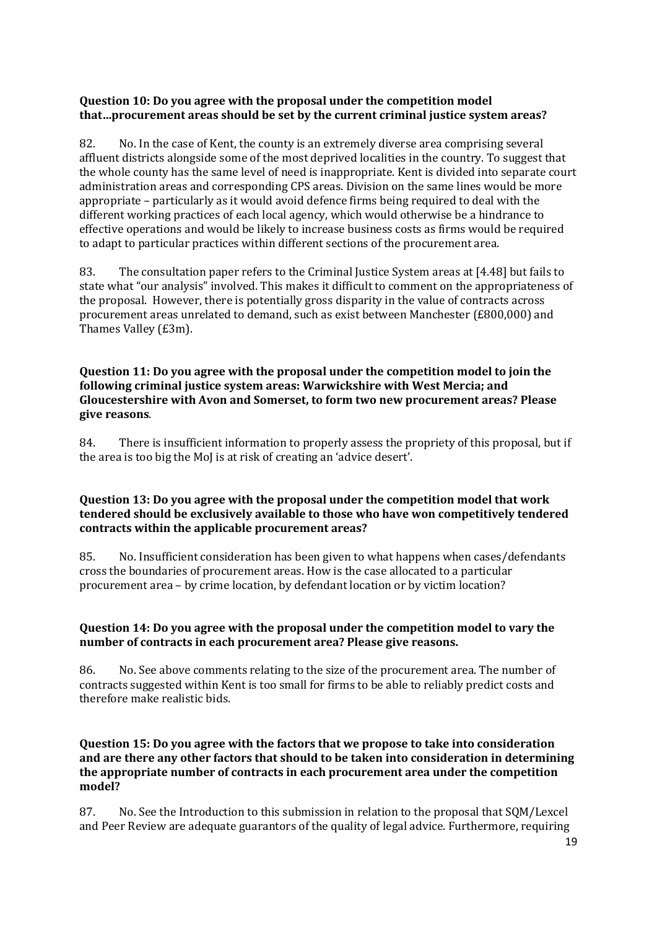### **Question 10: Do you agree with the proposal under the competition model that…procurement areas should be set by the current criminal justice system areas?**

82. No. In the case of Kent, the county is an extremely diverse area comprising several affluent districts alongside some of the most deprived localities in the country. To suggest that the whole county has the same level of need is inappropriate. Kent is divided into separate court administration areas and corresponding CPS areas. Division on the same lines would be more appropriate – particularly as it would avoid defence firms being required to deal with the different working practices of each local agency, which would otherwise be a hindrance to effective operations and would be likely to increase business costs as firms would be required to adapt to particular practices within different sections of the procurement area.

83. The consultation paper refers to the Criminal Justice System areas at [4.48] but fails to state what "our analysis" involved. This makes it difficult to comment on the appropriateness of the proposal. However, there is potentially gross disparity in the value of contracts across procurement areas unrelated to demand, such as exist between Manchester (£800,000) and Thames Valley (£3m).

## **Question 11: Do you agree with the proposal under the competition model to join the following criminal justice system areas: Warwickshire with West Mercia; and Gloucestershire with Avon and Somerset, to form two new procurement areas? Please give reasons**.

84. There is insufficient information to properly assess the propriety of this proposal, but if the area is too big the MoJ is at risk of creating an 'advice desert'.

## **Question 13: Do you agree with the proposal under the competition model that work tendered should be exclusively available to those who have won competitively tendered contracts within the applicable procurement areas?**

85. No. Insufficient consideration has been given to what happens when cases/defendants cross the boundaries of procurement areas. How is the case allocated to a particular procurement area – by crime location, by defendant location or by victim location?

## **Question 14: Do you agree with the proposal under the competition model to vary the number of contracts in each procurement area? Please give reasons.**

86. No. See above comments relating to the size of the procurement area. The number of contracts suggested within Kent is too small for firms to be able to reliably predict costs and therefore make realistic bids.

### **Question 15: Do you agree with the factors that we propose to take into consideration and are there any other factors that should to be taken into consideration in determining the appropriate number of contracts in each procurement area under the competition model?**

87. No. See the Introduction to this submission in relation to the proposal that SQM/Lexcel and Peer Review are adequate guarantors of the quality of legal advice. Furthermore, requiring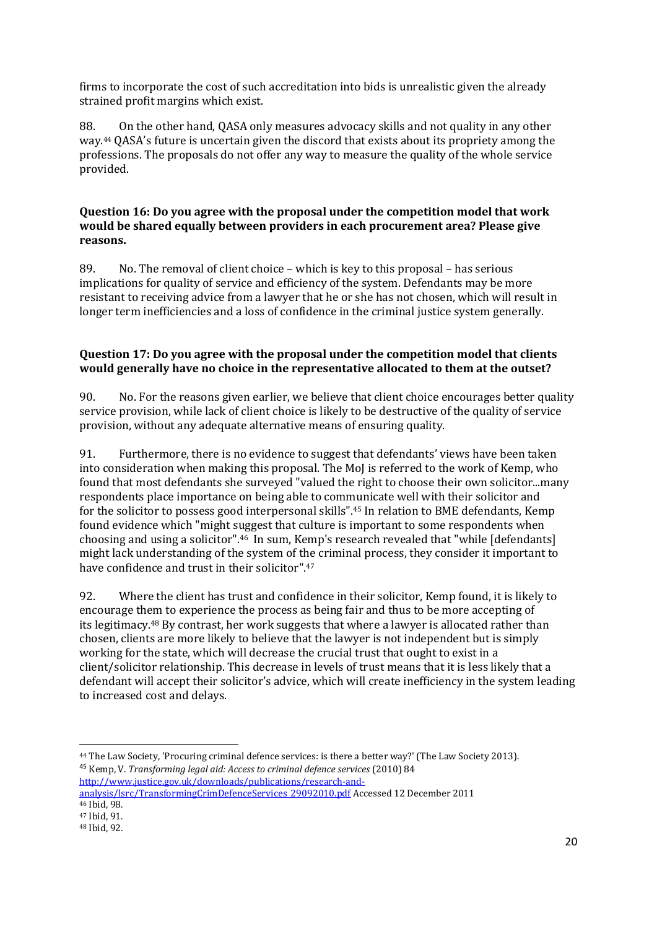firms to incorporate the cost of such accreditation into bids is unrealistic given the already strained profit margins which exist.

88. On the other hand, QASA only measures advocacy skills and not quality in any other way.<sup>44</sup> QASA's future is uncertain given the discord that exists about its propriety among the professions. The proposals do not offer any way to measure the quality of the whole service provided.

#### **Question 16: Do you agree with the proposal under the competition model that work would be shared equally between providers in each procurement area? Please give reasons.**

89. No. The removal of client choice – which is key to this proposal – has serious implications for quality of service and efficiency of the system. Defendants may be more resistant to receiving advice from a lawyer that he or she has not chosen, which will result in longer term inefficiencies and a loss of confidence in the criminal justice system generally.

## **Question 17: Do you agree with the proposal under the competition model that clients would generally have no choice in the representative allocated to them at the outset?**

90. No. For the reasons given earlier, we believe that client choice encourages better quality service provision, while lack of client choice is likely to be destructive of the quality of service provision, without any adequate alternative means of ensuring quality.

91. Furthermore, there is no evidence to suggest that defendants' views have been taken into consideration when making this proposal. The MoJ is referred to the work of Kemp, who found that most defendants she surveyed "valued the right to choose their own solicitor...many respondents place importance on being able to communicate well with their solicitor and for the solicitor to possess good interpersonal skills". <sup>45</sup> In relation to BME defendants, Kemp found evidence which "might suggest that culture is important to some respondents when choosing and using a solicitor".46 In sum, Kemp's research revealed that "while [defendants] might lack understanding of the system of the criminal process, they consider it important to have confidence and trust in their solicitor".47

92. Where the client has trust and confidence in their solicitor, Kemp found, it is likely to encourage them to experience the process as being fair and thus to be more accepting of its legitimacy. <sup>48</sup> By contrast, her work suggests that where a lawyer is allocated rather than chosen, clients are more likely to believe that the lawyer is not independent but is simply working for the state, which will decrease the crucial trust that ought to exist in a client/solicitor relationship. This decrease in levels of trust means that it is less likely that a defendant will accept their solicitor's advice, which will create inefficiency in the system leading to increased cost and delays.

<sup>44</sup> The Law Society, 'Procuring criminal defence services: is there a better way?' (The Law Society 2013). <sup>45</sup> Kemp, V. *Transforming legal aid: Access to criminal defence services* (2010) 84 [http://www.justice.gov.uk/downloads/publications/research-and-](http://www.justice.gov.uk/downloads/publications/research-and-analysis/lsrc/TransformingCrimDefenceServices_29092010.pdf)

[analysis/lsrc/TransformingCrimDefenceServices\\_29092010.pdf](http://www.justice.gov.uk/downloads/publications/research-and-analysis/lsrc/TransformingCrimDefenceServices_29092010.pdf) Accessed 12 December 2011 <sup>46</sup> Ibid, 98.

<sup>47</sup> Ibid, 91.

<sup>48</sup> Ibid, 92.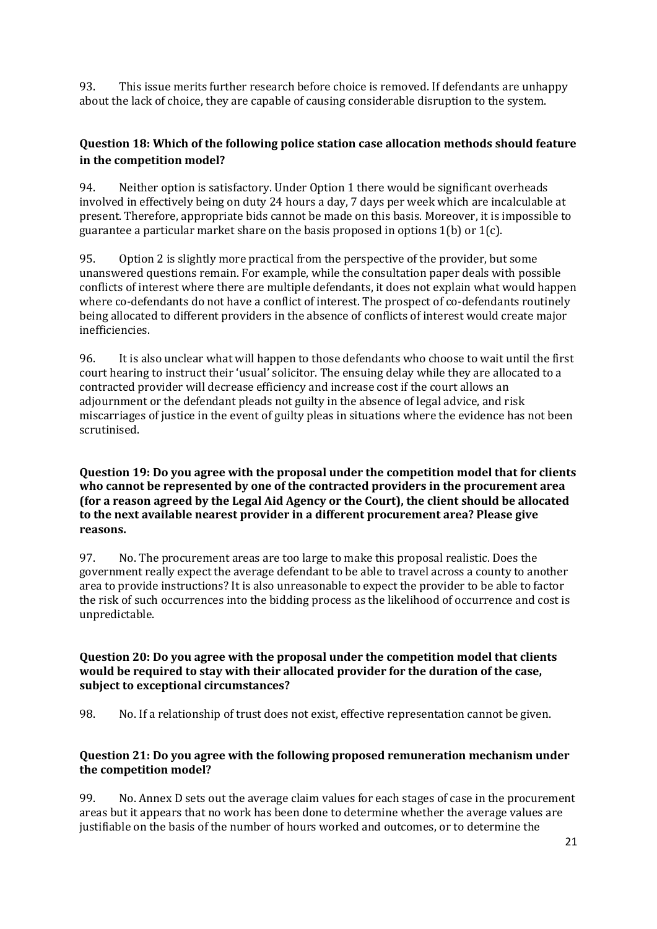93. This issue merits further research before choice is removed. If defendants are unhappy about the lack of choice, they are capable of causing considerable disruption to the system.

# **Question 18: Which of the following police station case allocation methods should feature in the competition model?**

94. Neither option is satisfactory. Under Option 1 there would be significant overheads involved in effectively being on duty 24 hours a day, 7 days per week which are incalculable at present. Therefore, appropriate bids cannot be made on this basis. Moreover, it is impossible to guarantee a particular market share on the basis proposed in options 1(b) or 1(c).

95. Option 2 is slightly more practical from the perspective of the provider, but some unanswered questions remain. For example, while the consultation paper deals with possible conflicts of interest where there are multiple defendants, it does not explain what would happen where co-defendants do not have a conflict of interest. The prospect of co-defendants routinely being allocated to different providers in the absence of conflicts of interest would create major inefficiencies.

96. It is also unclear what will happen to those defendants who choose to wait until the first court hearing to instruct their 'usual' solicitor. The ensuing delay while they are allocated to a contracted provider will decrease efficiency and increase cost if the court allows an adjournment or the defendant pleads not guilty in the absence of legal advice, and risk miscarriages of justice in the event of guilty pleas in situations where the evidence has not been scrutinised.

### **Question 19: Do you agree with the proposal under the competition model that for clients who cannot be represented by one of the contracted providers in the procurement area (for a reason agreed by the Legal Aid Agency or the Court), the client should be allocated to the next available nearest provider in a different procurement area? Please give reasons.**

97. No. The procurement areas are too large to make this proposal realistic. Does the government really expect the average defendant to be able to travel across a county to another area to provide instructions? It is also unreasonable to expect the provider to be able to factor the risk of such occurrences into the bidding process as the likelihood of occurrence and cost is unpredictable.

# **Question 20: Do you agree with the proposal under the competition model that clients would be required to stay with their allocated provider for the duration of the case, subject to exceptional circumstances?**

98. No. If a relationship of trust does not exist, effective representation cannot be given.

# **Question 21: Do you agree with the following proposed remuneration mechanism under the competition model?**

99. No. Annex D sets out the average claim values for each stages of case in the procurement areas but it appears that no work has been done to determine whether the average values are justifiable on the basis of the number of hours worked and outcomes, or to determine the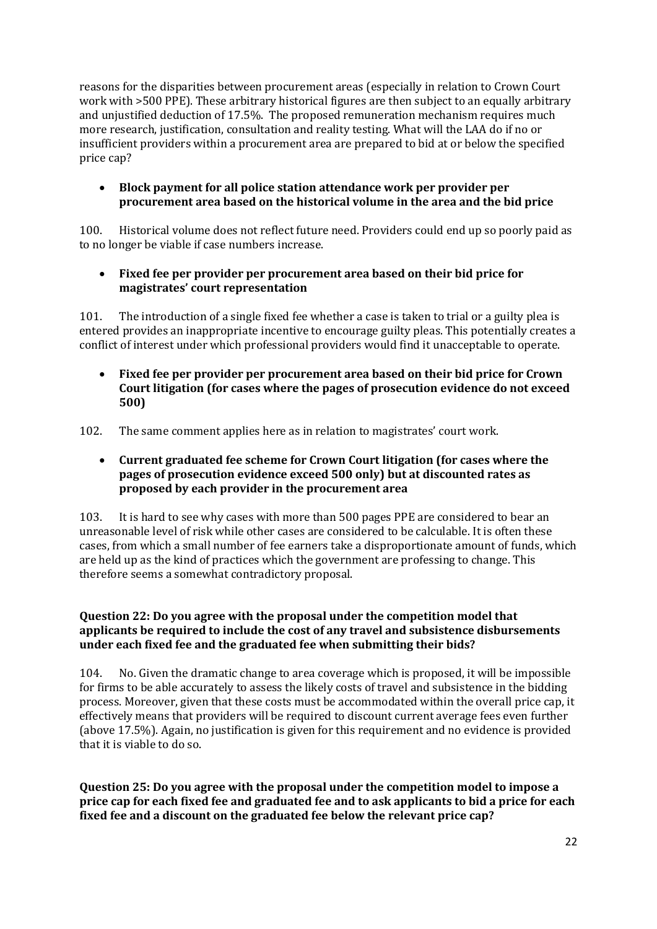reasons for the disparities between procurement areas (especially in relation to Crown Court work with >500 PPE). These arbitrary historical figures are then subject to an equally arbitrary and unjustified deduction of 17.5%. The proposed remuneration mechanism requires much more research, justification, consultation and reality testing. What will the LAA do if no or insufficient providers within a procurement area are prepared to bid at or below the specified price cap?

## **Block payment for all police station attendance work per provider per procurement area based on the historical volume in the area and the bid price**

100. Historical volume does not reflect future need. Providers could end up so poorly paid as to no longer be viable if case numbers increase.

# **Fixed fee per provider per procurement area based on their bid price for magistrates' court representation**

101. The introduction of a single fixed fee whether a case is taken to trial or a guilty plea is entered provides an inappropriate incentive to encourage guilty pleas. This potentially creates a conflict of interest under which professional providers would find it unacceptable to operate.

 **Fixed fee per provider per procurement area based on their bid price for Crown Court litigation (for cases where the pages of prosecution evidence do not exceed 500)** 

102. The same comment applies here as in relation to magistrates' court work.

 **Current graduated fee scheme for Crown Court litigation (for cases where the pages of prosecution evidence exceed 500 only) but at discounted rates as proposed by each provider in the procurement area** 

103. It is hard to see why cases with more than 500 pages PPE are considered to bear an unreasonable level of risk while other cases are considered to be calculable. It is often these cases, from which a small number of fee earners take a disproportionate amount of funds, which are held up as the kind of practices which the government are professing to change. This therefore seems a somewhat contradictory proposal.

# **Question 22: Do you agree with the proposal under the competition model that applicants be required to include the cost of any travel and subsistence disbursements under each fixed fee and the graduated fee when submitting their bids?**

104. No. Given the dramatic change to area coverage which is proposed, it will be impossible for firms to be able accurately to assess the likely costs of travel and subsistence in the bidding process. Moreover, given that these costs must be accommodated within the overall price cap, it effectively means that providers will be required to discount current average fees even further (above 17.5%). Again, no justification is given for this requirement and no evidence is provided that it is viable to do so.

**Question 25: Do you agree with the proposal under the competition model to impose a price cap for each fixed fee and graduated fee and to ask applicants to bid a price for each fixed fee and a discount on the graduated fee below the relevant price cap?**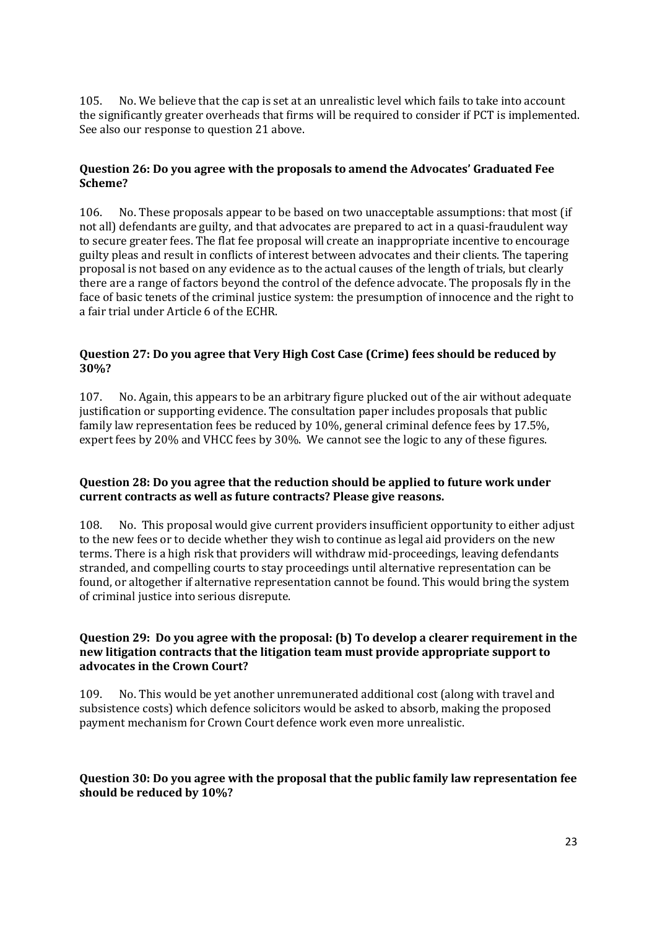105. No. We believe that the cap is set at an unrealistic level which fails to take into account the significantly greater overheads that firms will be required to consider if PCT is implemented. See also our response to question 21 above.

# **Question 26: Do you agree with the proposals to amend the Advocates' Graduated Fee Scheme?**

106. No. These proposals appear to be based on two unacceptable assumptions: that most (if not all) defendants are guilty, and that advocates are prepared to act in a quasi-fraudulent way to secure greater fees. The flat fee proposal will create an inappropriate incentive to encourage guilty pleas and result in conflicts of interest between advocates and their clients. The tapering proposal is not based on any evidence as to the actual causes of the length of trials, but clearly there are a range of factors beyond the control of the defence advocate. The proposals fly in the face of basic tenets of the criminal justice system: the presumption of innocence and the right to a fair trial under Article 6 of the ECHR.

# **Question 27: Do you agree that Very High Cost Case (Crime) fees should be reduced by 30%?**

107. No. Again, this appears to be an arbitrary figure plucked out of the air without adequate justification or supporting evidence. The consultation paper includes proposals that public family law representation fees be reduced by 10%, general criminal defence fees by 17.5%, expert fees by 20% and VHCC fees by 30%. We cannot see the logic to any of these figures.

## **Question 28: Do you agree that the reduction should be applied to future work under current contracts as well as future contracts? Please give reasons.**

108. No. This proposal would give current providers insufficient opportunity to either adjust to the new fees or to decide whether they wish to continue as legal aid providers on the new terms. There is a high risk that providers will withdraw mid-proceedings, leaving defendants stranded, and compelling courts to stay proceedings until alternative representation can be found, or altogether if alternative representation cannot be found. This would bring the system of criminal justice into serious disrepute.

## **Question 29: Do you agree with the proposal: (b) To develop a clearer requirement in the new litigation contracts that the litigation team must provide appropriate support to advocates in the Crown Court?**

109. No. This would be yet another unremunerated additional cost (along with travel and subsistence costs) which defence solicitors would be asked to absorb, making the proposed payment mechanism for Crown Court defence work even more unrealistic.

## **Question 30: Do you agree with the proposal that the public family law representation fee should be reduced by 10%?**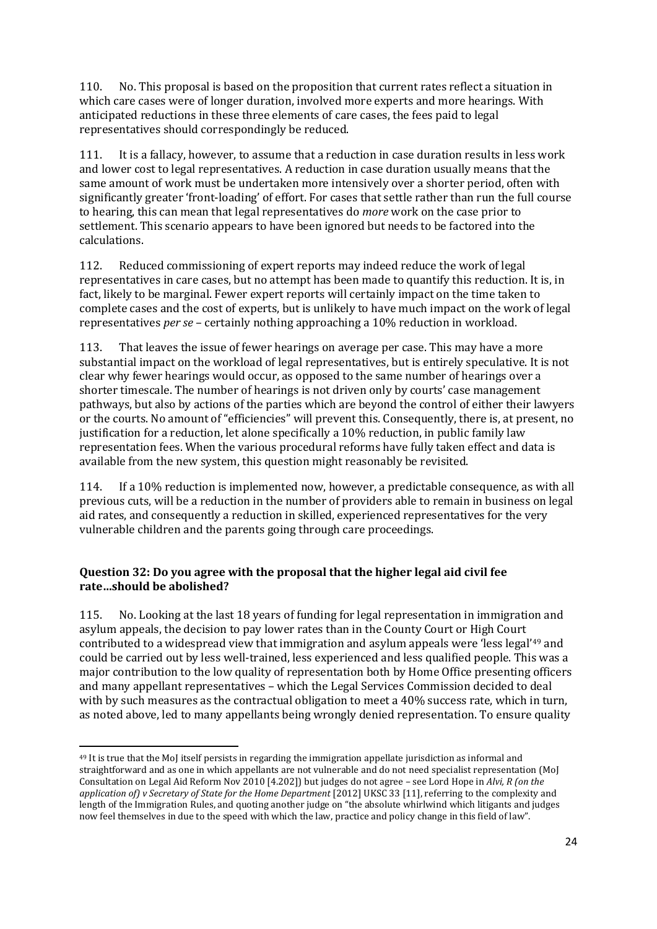110. No. This proposal is based on the proposition that current rates reflect a situation in which care cases were of longer duration, involved more experts and more hearings. With anticipated reductions in these three elements of care cases, the fees paid to legal representatives should correspondingly be reduced.

111. It is a fallacy, however, to assume that a reduction in case duration results in less work and lower cost to legal representatives. A reduction in case duration usually means that the same amount of work must be undertaken more intensively over a shorter period, often with significantly greater 'front-loading' of effort. For cases that settle rather than run the full course to hearing, this can mean that legal representatives do *more* work on the case prior to settlement. This scenario appears to have been ignored but needs to be factored into the calculations.

112. Reduced commissioning of expert reports may indeed reduce the work of legal representatives in care cases, but no attempt has been made to quantify this reduction. It is, in fact, likely to be marginal. Fewer expert reports will certainly impact on the time taken to complete cases and the cost of experts, but is unlikely to have much impact on the work of legal representatives *per se* – certainly nothing approaching a 10% reduction in workload.

113. That leaves the issue of fewer hearings on average per case. This may have a more substantial impact on the workload of legal representatives, but is entirely speculative. It is not clear why fewer hearings would occur, as opposed to the same number of hearings over a shorter timescale. The number of hearings is not driven only by courts' case management pathways, but also by actions of the parties which are beyond the control of either their lawyers or the courts. No amount of "efficiencies" will prevent this. Consequently, there is, at present, no justification for a reduction, let alone specifically a 10% reduction, in public family law representation fees. When the various procedural reforms have fully taken effect and data is available from the new system, this question might reasonably be revisited.

114. If a 10% reduction is implemented now, however, a predictable consequence, as with all previous cuts, will be a reduction in the number of providers able to remain in business on legal aid rates, and consequently a reduction in skilled, experienced representatives for the very vulnerable children and the parents going through care proceedings.

# **Question 32: Do you agree with the proposal that the higher legal aid civil fee rate…should be abolished?**

**.** 

115. No. Looking at the last 18 years of funding for legal representation in immigration and asylum appeals, the decision to pay lower rates than in the County Court or High Court contributed to a widespread view that immigration and asylum appeals were 'less legal'<sup>49</sup> and could be carried out by less well-trained, less experienced and less qualified people. This was a major contribution to the low quality of representation both by Home Office presenting officers and many appellant representatives – which the Legal Services Commission decided to deal with by such measures as the contractual obligation to meet a 40% success rate, which in turn, as noted above, led to many appellants being wrongly denied representation. To ensure quality

<sup>49</sup> It is true that the MoJ itself persists in regarding the immigration appellate jurisdiction as informal and straightforward and as one in which appellants are not vulnerable and do not need specialist representation (MoJ Consultation on Legal Aid Reform Nov 2010 [4.202]) but judges do not agree – see Lord Hope in *Alvi, R (on the application of) v Secretary of State for the Home Department* [2012] UKSC 33 [11], referring to the complexity and length of the Immigration Rules, and quoting another judge on "the absolute whirlwind which litigants and judges now feel themselves in due to the speed with which the law, practice and policy change in this field of law".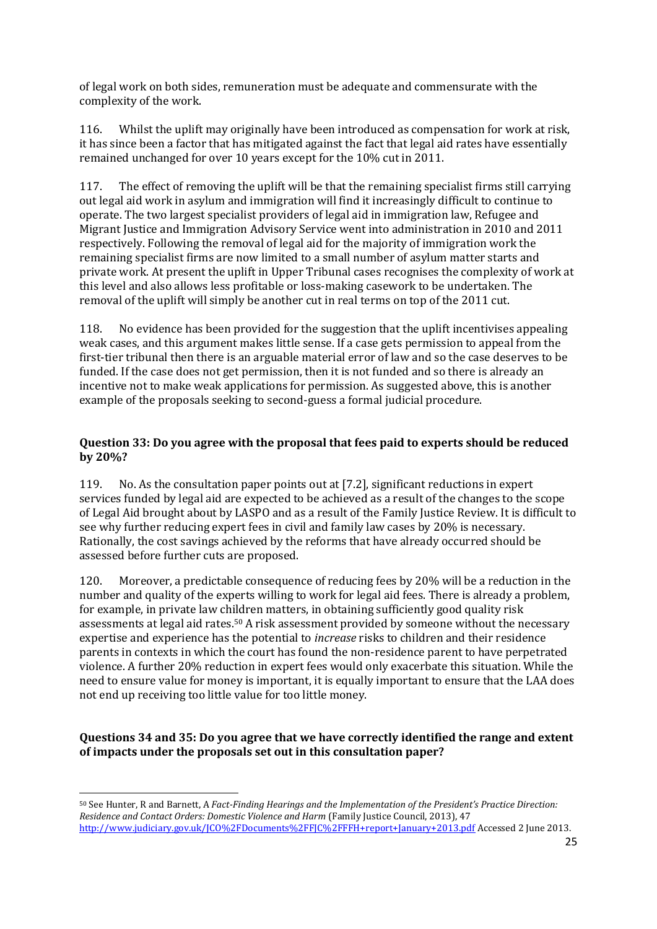of legal work on both sides, remuneration must be adequate and commensurate with the complexity of the work.

116. Whilst the uplift may originally have been introduced as compensation for work at risk, it has since been a factor that has mitigated against the fact that legal aid rates have essentially remained unchanged for over 10 years except for the 10% cut in 2011.

117. The effect of removing the uplift will be that the remaining specialist firms still carrying out legal aid work in asylum and immigration will find it increasingly difficult to continue to operate. The two largest specialist providers of legal aid in immigration law, Refugee and Migrant Justice and Immigration Advisory Service went into administration in 2010 and 2011 respectively. Following the removal of legal aid for the majority of immigration work the remaining specialist firms are now limited to a small number of asylum matter starts and private work. At present the uplift in Upper Tribunal cases recognises the complexity of work at this level and also allows less profitable or loss-making casework to be undertaken. The removal of the uplift will simply be another cut in real terms on top of the 2011 cut.

118. No evidence has been provided for the suggestion that the uplift incentivises appealing weak cases, and this argument makes little sense. If a case gets permission to appeal from the first-tier tribunal then there is an arguable material error of law and so the case deserves to be funded. If the case does not get permission, then it is not funded and so there is already an incentive not to make weak applications for permission. As suggested above, this is another example of the proposals seeking to second-guess a formal judicial procedure.

# **Question 33: Do you agree with the proposal that fees paid to experts should be reduced by 20%?**

119. No. As the consultation paper points out at [7.2], significant reductions in expert services funded by legal aid are expected to be achieved as a result of the changes to the scope of Legal Aid brought about by LASPO and as a result of the Family Justice Review. It is difficult to see why further reducing expert fees in civil and family law cases by 20% is necessary. Rationally, the cost savings achieved by the reforms that have already occurred should be assessed before further cuts are proposed.

120. Moreover, a predictable consequence of reducing fees by 20% will be a reduction in the number and quality of the experts willing to work for legal aid fees. There is already a problem, for example, in private law children matters, in obtaining sufficiently good quality risk assessments at legal aid rates.<sup>50</sup> A risk assessment provided by someone without the necessary expertise and experience has the potential to *increase* risks to children and their residence parents in contexts in which the court has found the non-residence parent to have perpetrated violence. A further 20% reduction in expert fees would only exacerbate this situation. While the need to ensure value for money is important, it is equally important to ensure that the LAA does not end up receiving too little value for too little money.

## **Questions 34 and 35: Do you agree that we have correctly identified the range and extent of impacts under the proposals set out in this consultation paper?**

<sup>50</sup> See Hunter, R and Barnett, A *Fact-Finding Hearings and the Implementation of the President's Practice Direction: Residence and Contact Orders: Domestic Violence and Harm* (Family Justice Council, 2013), 47 <http://www.judiciary.gov.uk/JCO%2FDocuments%2FFJC%2FFFH+report+January+2013.pdf> Accessed 2 June 2013.